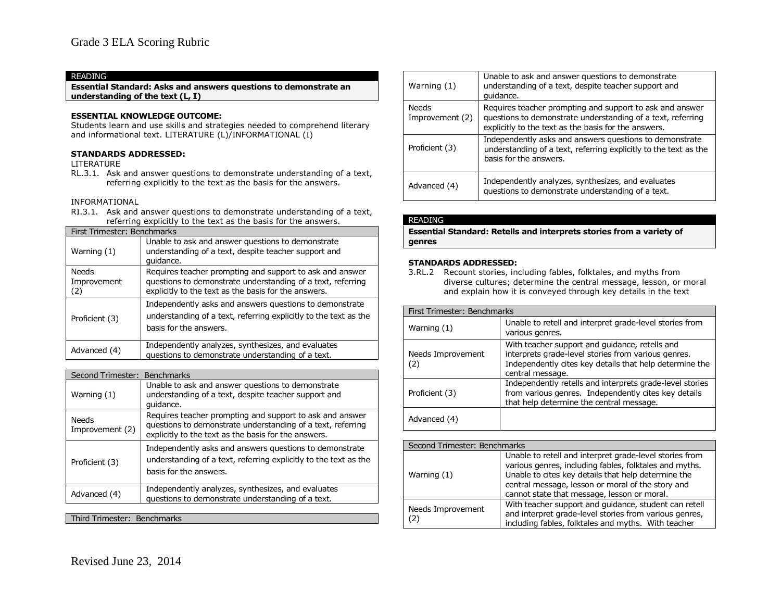**Essential Standard: Asks and answers questions to demonstrate an understanding of the text (L, I)**

### **ESSENTIAL KNOWLEDGE OUTCOME:**

Students learn and use skills and strategies needed to comprehend literary and informational text. LITERATURE (L)/INFORMATIONAL (I)

### **STANDARDS ADDRESSED:**

LITERATURE

RL.3.1. Ask and answer questions to demonstrate understanding of a text, referring explicitly to the text as the basis for the answers.

### INFORMATIONAL

RI.3.1. Ask and answer questions to demonstrate understanding of a text, referring explicitly to the text as the basis for the answers.

| First Trimester: Benchmarks |                                                                                                                                                                                 |  |
|-----------------------------|---------------------------------------------------------------------------------------------------------------------------------------------------------------------------------|--|
| Warning (1)                 | Unable to ask and answer questions to demonstrate<br>understanding of a text, despite teacher support and<br>quidance.                                                          |  |
| Needs<br>Improvement<br>(2) | Requires teacher prompting and support to ask and answer<br>questions to demonstrate understanding of a text, referring<br>explicitly to the text as the basis for the answers. |  |
| Proficient (3)              | Independently asks and answers questions to demonstrate<br>understanding of a text, referring explicitly to the text as the<br>basis for the answers.                           |  |
| Advanced (4)                | Independently analyzes, synthesizes, and evaluates<br>questions to demonstrate understanding of a text.                                                                         |  |

| Second Trimester: Benchmarks |                                                                                                                                                                                 |
|------------------------------|---------------------------------------------------------------------------------------------------------------------------------------------------------------------------------|
| Warning (1)                  | Unable to ask and answer questions to demonstrate<br>understanding of a text, despite teacher support and<br>quidance.                                                          |
| Needs<br>Improvement (2)     | Requires teacher prompting and support to ask and answer<br>questions to demonstrate understanding of a text, referring<br>explicitly to the text as the basis for the answers. |
| Proficient (3)               | Independently asks and answers questions to demonstrate<br>understanding of a text, referring explicitly to the text as the<br>basis for the answers.                           |
| Advanced (4)                 | Independently analyzes, synthesizes, and evaluates<br>questions to demonstrate understanding of a text.                                                                         |

Third Trimester: Benchmarks

| Warning (1)                     | Unable to ask and answer questions to demonstrate<br>understanding of a text, despite teacher support and<br>quidance.                                                          |
|---------------------------------|---------------------------------------------------------------------------------------------------------------------------------------------------------------------------------|
| <b>Needs</b><br>Improvement (2) | Requires teacher prompting and support to ask and answer<br>questions to demonstrate understanding of a text, referring<br>explicitly to the text as the basis for the answers. |
| Proficient (3)                  | Independently asks and answers questions to demonstrate<br>understanding of a text, referring explicitly to the text as the<br>basis for the answers.                           |
| Advanced (4)                    | Independently analyzes, synthesizes, and evaluates<br>questions to demonstrate understanding of a text.                                                                         |

### READING

**Essential Standard: Retells and interprets stories from a variety of genres**

### **STANDARDS ADDRESSED:**

3.RL.2 Recount stories, including fables, folktales, and myths from diverse cultures; determine the central message, lesson, or moral and explain how it is conveyed through key details in the text

| First Trimester: Benchmarks |                                                                                                                                                                                      |  |
|-----------------------------|--------------------------------------------------------------------------------------------------------------------------------------------------------------------------------------|--|
| Warning (1)                 | Unable to retell and interpret grade-level stories from<br>various genres.                                                                                                           |  |
| Needs Improvement<br>(2)    | With teacher support and guidance, retells and<br>interprets grade-level stories from various genres.<br>Independently cites key details that help determine the<br>central message. |  |
| Proficient (3)              | Independently retells and interprets grade-level stories<br>from various genres. Independently cites key details<br>that help determine the central message.                         |  |
| Advanced (4)                |                                                                                                                                                                                      |  |

| Second Trimester: Benchmarks |                                                                                                                                                                                                                                                                              |
|------------------------------|------------------------------------------------------------------------------------------------------------------------------------------------------------------------------------------------------------------------------------------------------------------------------|
| Warning $(1)$                | Unable to retell and interpret grade-level stories from<br>various genres, including fables, folktales and myths.<br>Unable to cites key details that help determine the<br>central message, lesson or moral of the story and<br>cannot state that message, lesson or moral. |
| Needs Improvement<br>2)      | With teacher support and quidance, student can retell<br>and interpret grade-level stories from various genres,<br>including fables, folktales and myths. With teacher                                                                                                       |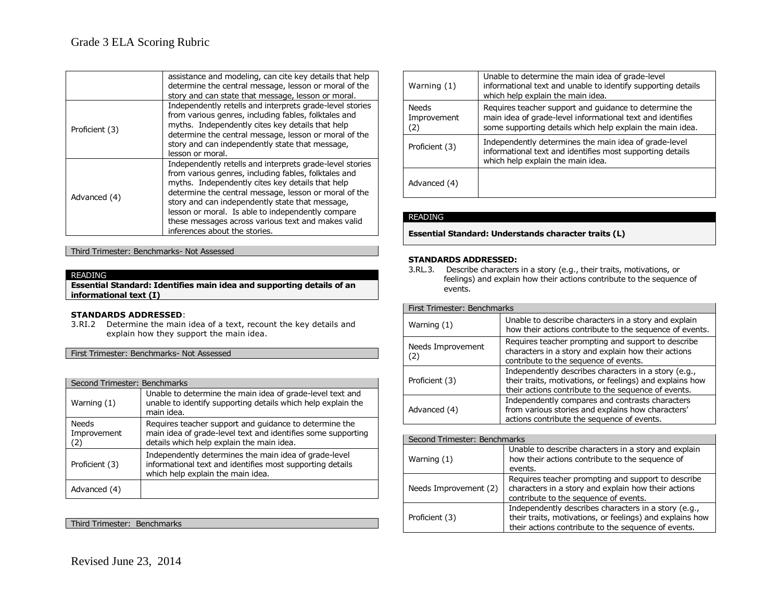|                | assistance and modeling, can cite key details that help<br>determine the central message, lesson or moral of the<br>story and can state that message, lesson or moral.                                                                                                                                                                                                                                                       |
|----------------|------------------------------------------------------------------------------------------------------------------------------------------------------------------------------------------------------------------------------------------------------------------------------------------------------------------------------------------------------------------------------------------------------------------------------|
| Proficient (3) | Independently retells and interprets grade-level stories<br>from various genres, including fables, folktales and<br>myths. Independently cites key details that help<br>determine the central message, lesson or moral of the<br>story and can independently state that message,<br>lesson or moral.                                                                                                                         |
| Advanced (4)   | Independently retells and interprets grade-level stories<br>from various genres, including fables, folktales and<br>myths. Independently cites key details that help<br>determine the central message, lesson or moral of the<br>story and can independently state that message,<br>lesson or moral. Is able to independently compare<br>these messages across various text and makes valid<br>inferences about the stories. |

Third Trimester: Benchmarks- Not Assessed

### READING

**Essential Standard: Identifies main idea and supporting details of an informational text (I)**

### **STANDARDS ADDRESSED**:

3.RI.2 Determine the main idea of a text, recount the key details and explain how they support the main idea.

First Trimester: Benchmarks- Not Assessed

| Second Trimester: Benchmarks       |                                                                                                                                                                     |
|------------------------------------|---------------------------------------------------------------------------------------------------------------------------------------------------------------------|
| Warning (1)                        | Unable to determine the main idea of grade-level text and<br>unable to identify supporting details which help explain the<br>main idea.                             |
| <b>Needs</b><br>Improvement<br>(2) | Requires teacher support and guidance to determine the<br>main idea of grade-level text and identifies some supporting<br>details which help explain the main idea. |
| Proficient (3)                     | Independently determines the main idea of grade-level<br>informational text and identifies most supporting details<br>which help explain the main idea.             |
| Advanced (4)                       |                                                                                                                                                                     |

### Third Trimester: Benchmarks

| Warning (1)                        | Unable to determine the main idea of grade-level<br>informational text and unable to identify supporting details<br>which help explain the main idea.                             |
|------------------------------------|-----------------------------------------------------------------------------------------------------------------------------------------------------------------------------------|
| <b>Needs</b><br>Improvement<br>(2) | Requires teacher support and quidance to determine the<br>main idea of grade-level informational text and identifies<br>some supporting details which help explain the main idea. |
| Proficient (3)                     | Independently determines the main idea of grade-level<br>informational text and identifies most supporting details<br>which help explain the main idea.                           |
| Advanced (4)                       |                                                                                                                                                                                   |

### READING

**Essential Standard: Understands character traits (L)**

### **STANDARDS ADDRESSED:**

3.RL.3. Describe characters in a story (e.g., their traits, motivations, or feelings) and explain how their actions contribute to the sequence of events.

| First Trimester: Benchmarks |                                                                                                                                                                         |
|-----------------------------|-------------------------------------------------------------------------------------------------------------------------------------------------------------------------|
| Warning $(1)$               | Unable to describe characters in a story and explain<br>how their actions contribute to the sequence of events.                                                         |
| Needs Improvement<br>(2)    | Requires teacher prompting and support to describe<br>characters in a story and explain how their actions<br>contribute to the sequence of events.                      |
| Proficient (3)              | Independently describes characters in a story (e.g.,<br>their traits, motivations, or feelings) and explains how<br>their actions contribute to the sequence of events. |
| Advanced (4)                | Independently compares and contrasts characters<br>from various stories and explains how characters'<br>actions contribute the sequence of events.                      |

| Second Trimester: Benchmarks |                                                                                                                                                                         |  |
|------------------------------|-------------------------------------------------------------------------------------------------------------------------------------------------------------------------|--|
| Warning $(1)$                | Unable to describe characters in a story and explain<br>how their actions contribute to the sequence of<br>events.                                                      |  |
| Needs Improvement (2)        | Requires teacher prompting and support to describe<br>characters in a story and explain how their actions<br>contribute to the sequence of events.                      |  |
| Proficient (3)               | Independently describes characters in a story (e.g.,<br>their traits, motivations, or feelings) and explains how<br>their actions contribute to the sequence of events. |  |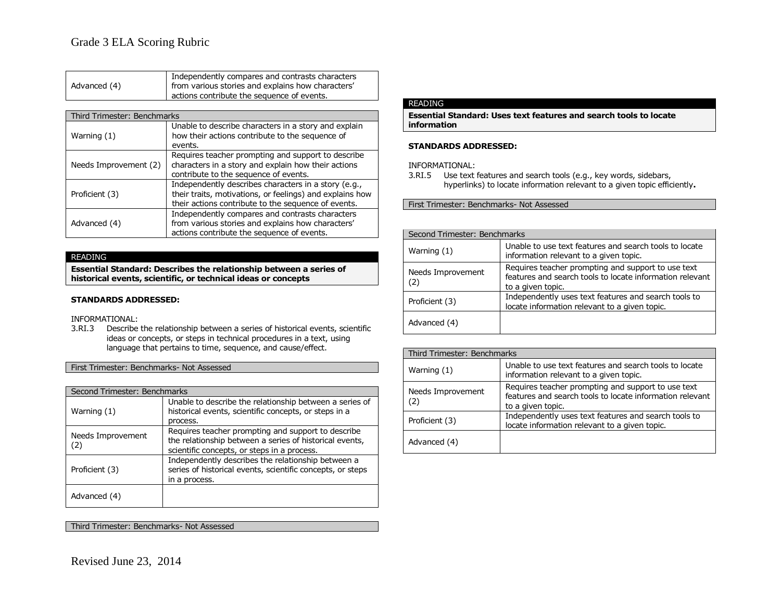|              | Independently compares and contrasts characters   |
|--------------|---------------------------------------------------|
| Advanced (4) | from various stories and explains how characters' |
|              | actions contribute the sequence of events.        |

| Third Trimester: Benchmarks |                                                          |
|-----------------------------|----------------------------------------------------------|
|                             |                                                          |
|                             | Unable to describe characters in a story and explain     |
| Warning (1)                 | how their actions contribute to the sequence of          |
|                             | events.                                                  |
| Needs Improvement (2)       | Requires teacher prompting and support to describe       |
|                             | characters in a story and explain how their actions      |
|                             | contribute to the sequence of events.                    |
|                             | Independently describes characters in a story (e.g.,     |
| Proficient (3)              | their traits, motivations, or feelings) and explains how |
|                             | their actions contribute to the sequence of events.      |
| Advanced (4)                | Independently compares and contrasts characters          |
|                             | from various stories and explains how characters'        |
|                             | actions contribute the sequence of events.               |

**Essential Standard: Describes the relationship between a series of historical events, scientific, or technical ideas or concepts**

### **STANDARDS ADDRESSED:**

INFORMATIONAL:

3.RI.3 Describe the relationship between a series of historical events, scientific ideas or concepts, or steps in technical procedures in a text, using language that pertains to time, sequence, and cause/effect.

First Trimester: Benchmarks- Not Assessed

| Second Trimester: Benchmarks |                                                                                                                                                              |
|------------------------------|--------------------------------------------------------------------------------------------------------------------------------------------------------------|
| Warning (1)                  | Unable to describe the relationship between a series of<br>historical events, scientific concepts, or steps in a<br>process.                                 |
| Needs Improvement<br>(2)     | Requires teacher prompting and support to describe<br>the relationship between a series of historical events,<br>scientific concepts, or steps in a process. |
| Proficient (3)               | Independently describes the relationship between a<br>series of historical events, scientific concepts, or steps<br>in a process.                            |
| Advanced (4)                 |                                                                                                                                                              |

Third Trimester: Benchmarks- Not Assessed

### READING

**Essential Standard: Uses text features and search tools to locate information**

### **STANDARDS ADDRESSED:**

INFORMATIONAL:

3.RI.5 Use text features and search tools (e.g., key words, sidebars, hyperlinks) to locate information relevant to a given topic efficiently**.**

First Trimester: Benchmarks- Not Assessed

| Second Trimester: Benchmarks |                                                                                                                                     |  |
|------------------------------|-------------------------------------------------------------------------------------------------------------------------------------|--|
| Warning (1)                  | Unable to use text features and search tools to locate<br>information relevant to a given topic.                                    |  |
| Needs Improvement<br>(2)     | Requires teacher prompting and support to use text<br>features and search tools to locate information relevant<br>to a given topic. |  |
| Proficient (3)               | Independently uses text features and search tools to<br>locate information relevant to a given topic.                               |  |
| Advanced (4)                 |                                                                                                                                     |  |

| Third Trimester: Benchmarks |                                                                                                                                     |
|-----------------------------|-------------------------------------------------------------------------------------------------------------------------------------|
| Warning $(1)$               | Unable to use text features and search tools to locate<br>information relevant to a given topic.                                    |
| Needs Improvement<br>(2)    | Requires teacher prompting and support to use text<br>features and search tools to locate information relevant<br>to a given topic. |
| Proficient (3)              | Independently uses text features and search tools to<br>locate information relevant to a given topic.                               |
| Advanced (4)                |                                                                                                                                     |

Revised June 23, 2014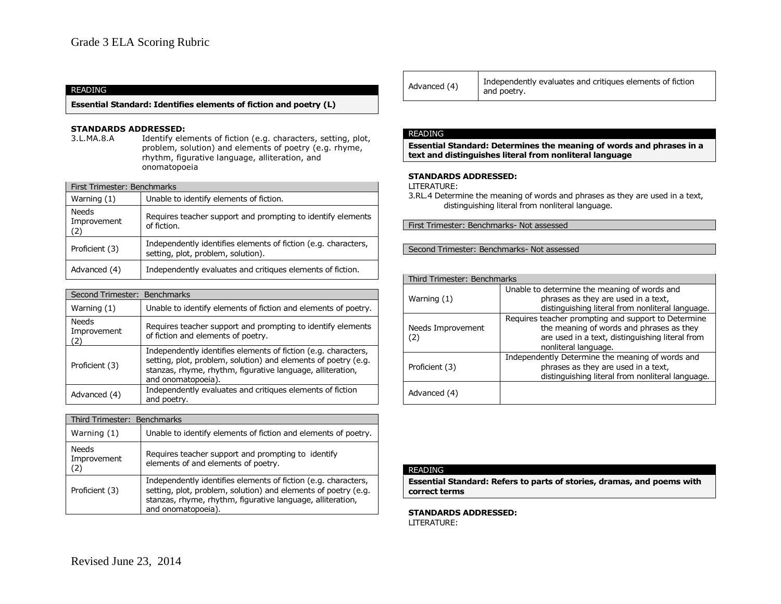**Essential Standard: Identifies elements of fiction and poetry (L)**

# **STANDARDS ADDRESSED:**<br>3.L.MA.8.A Identify ele

Identify elements of fiction (e.g. characters, setting, plot, problem, solution) and elements of poetry (e.g. rhyme, rhythm, figurative language, alliteration, and onomatopoeia

| First Trimester: Benchmarks |                                                                                                      |
|-----------------------------|------------------------------------------------------------------------------------------------------|
| Warning $(1)$               | Unable to identify elements of fiction.                                                              |
| Needs<br>Improvement<br>(2) | Requires teacher support and prompting to identify elements<br>of fiction.                           |
| Proficient (3)              | Independently identifies elements of fiction (e.g. characters,<br>setting, plot, problem, solution). |
| Advanced (4)                | Independently evaluates and critiques elements of fiction.                                           |

| Second Trimester: Benchmarks |                                                                                                                                                                                                                      |
|------------------------------|----------------------------------------------------------------------------------------------------------------------------------------------------------------------------------------------------------------------|
| Warning (1)                  | Unable to identify elements of fiction and elements of poetry.                                                                                                                                                       |
| Needs<br>Improvement<br>(2)  | Requires teacher support and prompting to identify elements<br>of fiction and elements of poetry.                                                                                                                    |
| Proficient (3)               | Independently identifies elements of fiction (e.g. characters,<br>setting, plot, problem, solution) and elements of poetry (e.g.<br>stanzas, rhyme, rhythm, figurative language, alliteration,<br>and onomatopoeia). |
| Advanced (4)                 | Independently evaluates and critiques elements of fiction<br>and poetry.                                                                                                                                             |

| Third Trimester: Benchmarks |                                                                                                                                                                                                                      |
|-----------------------------|----------------------------------------------------------------------------------------------------------------------------------------------------------------------------------------------------------------------|
| Warning $(1)$               | Unable to identify elements of fiction and elements of poetry.                                                                                                                                                       |
| Needs<br>Improvement<br>(2) | Requires teacher support and prompting to identify<br>elements of and elements of poetry.                                                                                                                            |
| Proficient (3)              | Independently identifies elements of fiction (e.g. characters,<br>setting, plot, problem, solution) and elements of poetry (e.g.<br>stanzas, rhyme, rhythm, figurative language, alliteration,<br>and onomatopoeia). |

| Advanced (4) | Independently evaluates and critiques elements of fiction<br>and poetry. |
|--------------|--------------------------------------------------------------------------|
|--------------|--------------------------------------------------------------------------|

#### READING

**Essential Standard: Determines the meaning of words and phrases in a text and distinguishes literal from nonliteral language**

### **STANDARDS ADDRESSED:**

LITERATURE:

3.RL.4 Determine the meaning of words and phrases as they are used in a text, distinguishing literal from nonliteral language.

First Trimester: Benchmarks- Not assessed

Second Trimester: Benchmarks- Not assessed

| Third Trimester: Benchmarks |                                                                                                                                                                            |  |
|-----------------------------|----------------------------------------------------------------------------------------------------------------------------------------------------------------------------|--|
| Warning (1)                 | Unable to determine the meaning of words and<br>phrases as they are used in a text,<br>distinguishing literal from nonliteral language.                                    |  |
| Needs Improvement<br>(2)    | Requires teacher prompting and support to Determine<br>the meaning of words and phrases as they<br>are used in a text, distinguishing literal from<br>nonliteral language. |  |
| Proficient (3)              | Independently Determine the meaning of words and<br>phrases as they are used in a text,<br>distinguishing literal from nonliteral language.                                |  |
| Advanced (4)                |                                                                                                                                                                            |  |

### READING

**Essential Standard: Refers to parts of stories, dramas, and poems with correct terms**

# **STANDARDS ADDRESSED:**

LITERATURE: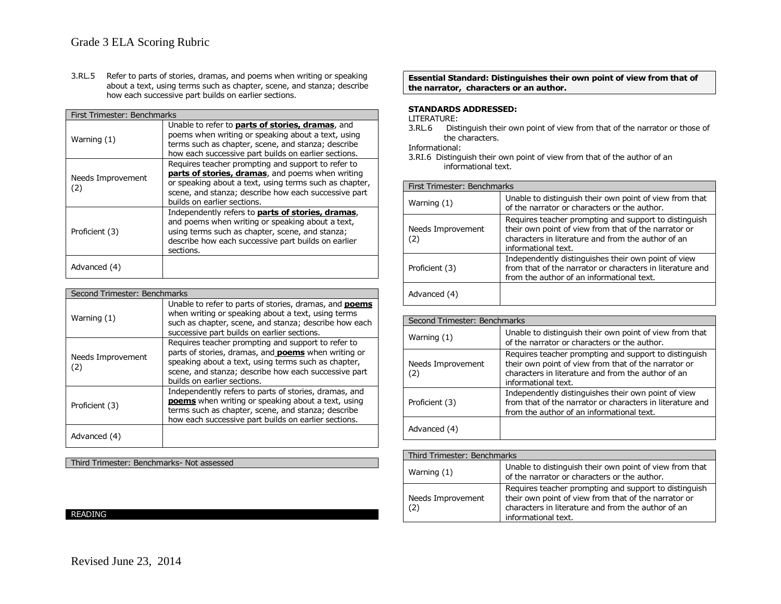3.RL.5 Refer to parts of stories, dramas, and poems when writing or speaking about a text, using terms such as chapter, scene, and stanza; describe how each successive part builds on earlier sections.

| First Trimester: Benchmarks |                                                                                                                                                                                                                                                         |
|-----------------------------|---------------------------------------------------------------------------------------------------------------------------------------------------------------------------------------------------------------------------------------------------------|
| Warning (1)                 | Unable to refer to <b>parts of stories, dramas</b> , and<br>poems when writing or speaking about a text, using<br>terms such as chapter, scene, and stanza; describe<br>how each successive part builds on earlier sections.                            |
| Needs Improvement<br>(2)    | Requires teacher prompting and support to refer to<br>parts of stories, dramas, and poems when writing<br>or speaking about a text, using terms such as chapter,<br>scene, and stanza; describe how each successive part<br>builds on earlier sections. |
| Proficient (3)              | Independently refers to <b>parts of stories, dramas</b> ,<br>and poems when writing or speaking about a text,<br>using terms such as chapter, scene, and stanza;<br>describe how each successive part builds on earlier<br>sections.                    |
| Advanced (4)                |                                                                                                                                                                                                                                                         |

| Second Trimester: Benchmarks |                                                                                                                                                                                                                                                                |
|------------------------------|----------------------------------------------------------------------------------------------------------------------------------------------------------------------------------------------------------------------------------------------------------------|
| Warning (1)                  | Unable to refer to parts of stories, dramas, and <b>poems</b><br>when writing or speaking about a text, using terms<br>such as chapter, scene, and stanza; describe how each<br>successive part builds on earlier sections.                                    |
| Needs Improvement<br>(2)     | Requires teacher prompting and support to refer to<br>parts of stories, dramas, and <b>poems</b> when writing or<br>speaking about a text, using terms such as chapter,<br>scene, and stanza; describe how each successive part<br>builds on earlier sections. |
| Proficient (3)               | Independently refers to parts of stories, dramas, and<br><b>poems</b> when writing or speaking about a text, using<br>terms such as chapter, scene, and stanza; describe<br>how each successive part builds on earlier sections.                               |
| Advanced (4)                 |                                                                                                                                                                                                                                                                |

Third Trimester: Benchmarks- Not assessed

# READING

**Essential Standard: Distinguishes their own point of view from that of the narrator, characters or an author.**

### **STANDARDS ADDRESSED:**

LITERATURE:<br>3.RL.6 Dist Distinguish their own point of view from that of the narrator or those of the characters.

Informational:

3.RI.6 Distinguish their own point of view from that of the author of an informational text.

| First Trimester: Benchmarks |                                                                                                                                                                                            |
|-----------------------------|--------------------------------------------------------------------------------------------------------------------------------------------------------------------------------------------|
| Warning $(1)$               | Unable to distinguish their own point of view from that<br>of the narrator or characters or the author.                                                                                    |
| Needs Improvement<br>(2)    | Requires teacher prompting and support to distinguish<br>their own point of view from that of the narrator or<br>characters in literature and from the author of an<br>informational text. |
| Proficient (3)              | Independently distinguishes their own point of view<br>from that of the narrator or characters in literature and<br>from the author of an informational text.                              |
| Advanced (4)                |                                                                                                                                                                                            |

| Second Trimester: Benchmarks |                                                                                                                                                                                            |  |
|------------------------------|--------------------------------------------------------------------------------------------------------------------------------------------------------------------------------------------|--|
| Warning (1)                  | Unable to distinguish their own point of view from that<br>of the narrator or characters or the author.                                                                                    |  |
| Needs Improvement<br>(2)     | Requires teacher prompting and support to distinguish<br>their own point of view from that of the narrator or<br>characters in literature and from the author of an<br>informational text. |  |
| Proficient (3)               | Independently distinguishes their own point of view<br>from that of the narrator or characters in literature and<br>from the author of an informational text.                              |  |
| Advanced (4)                 |                                                                                                                                                                                            |  |

| Third Trimester: Benchmarks |                                                                                                                                                                                            |
|-----------------------------|--------------------------------------------------------------------------------------------------------------------------------------------------------------------------------------------|
| Warning (1)                 | Unable to distinguish their own point of view from that<br>of the narrator or characters or the author.                                                                                    |
| Needs Improvement<br>(2)    | Requires teacher prompting and support to distinguish<br>their own point of view from that of the narrator or<br>characters in literature and from the author of an<br>informational text. |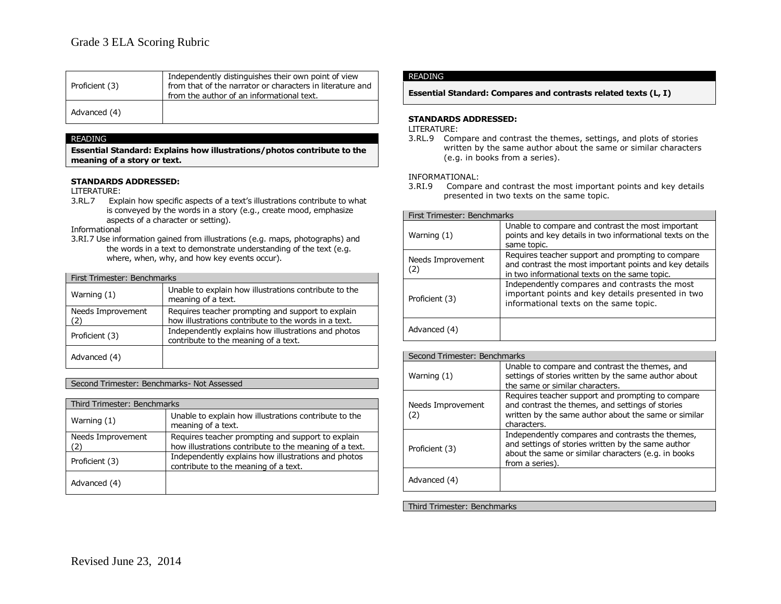| Proficient (3) | Independently distinguishes their own point of view<br>from that of the narrator or characters in literature and<br>from the author of an informational text. |
|----------------|---------------------------------------------------------------------------------------------------------------------------------------------------------------|
| Advanced (4)   |                                                                                                                                                               |

**Essential Standard: Explains how illustrations/photos contribute to the meaning of a story or text.**

### **STANDARDS ADDRESSED:**

LITERATURE:

3.RL.7 Explain how specific aspects of a text's illustrations contribute to what is conveyed by the words in a story (e.g., create mood, emphasize aspects of a character or setting).

Informational

3.RI.7 Use information gained from illustrations (e.g. maps, photographs) and the words in a text to demonstrate understanding of the text (e.g. where, when, why, and how key events occur).

| First Trimester: Benchmarks |                                                                                                           |
|-----------------------------|-----------------------------------------------------------------------------------------------------------|
| Warning (1)                 | Unable to explain how illustrations contribute to the<br>meaning of a text.                               |
| Needs Improvement<br>(2)    | Requires teacher prompting and support to explain<br>how illustrations contribute to the words in a text. |
| Proficient (3)              | Independently explains how illustrations and photos<br>contribute to the meaning of a text.               |
| Advanced (4)                |                                                                                                           |

### Second Trimester: Benchmarks- Not Assessed

| Third Trimester: Benchmarks |                                                                                                             |
|-----------------------------|-------------------------------------------------------------------------------------------------------------|
| Warning (1)                 | Unable to explain how illustrations contribute to the<br>meaning of a text.                                 |
| Needs Improvement           | Requires teacher prompting and support to explain<br>how illustrations contribute to the meaning of a text. |
| Proficient (3)              | Independently explains how illustrations and photos<br>contribute to the meaning of a text.                 |
| Advanced (4)                |                                                                                                             |

### READING

**Essential Standard: Compares and contrasts related texts (L, I)**

### **STANDARDS ADDRESSED:**

LITERATURE:

3.RL.9 Compare and contrast the themes, settings, and plots of stories written by the same author about the same or similar characters (e.g. in books from a series).

INFORMATIONAL:

3.RI.9 Compare and contrast the most important points and key details presented in two texts on the same topic.

| First Trimester: Benchmarks |                                                                                                                                                              |  |
|-----------------------------|--------------------------------------------------------------------------------------------------------------------------------------------------------------|--|
| Warning (1)                 | Unable to compare and contrast the most important<br>points and key details in two informational texts on the<br>same topic.                                 |  |
| Needs Improvement<br>(2)    | Requires teacher support and prompting to compare<br>and contrast the most important points and key details<br>in two informational texts on the same topic. |  |
| Proficient (3)              | Independently compares and contrasts the most<br>important points and key details presented in two<br>informational texts on the same topic.                 |  |
| Advanced (4)                |                                                                                                                                                              |  |

| Second Trimester: Benchmarks |                                                                                                                                                                                  |
|------------------------------|----------------------------------------------------------------------------------------------------------------------------------------------------------------------------------|
| Warning (1)                  | Unable to compare and contrast the themes, and<br>settings of stories written by the same author about<br>the same or similar characters.                                        |
| Needs Improvement<br>(2)     | Requires teacher support and prompting to compare<br>and contrast the themes, and settings of stories<br>written by the same author about the same or similar<br>characters.     |
| Proficient (3)               | Independently compares and contrasts the themes,<br>and settings of stories written by the same author<br>about the same or similar characters (e.g. in books<br>from a series). |
| Advanced (4)                 |                                                                                                                                                                                  |

Third Trimester: Benchmarks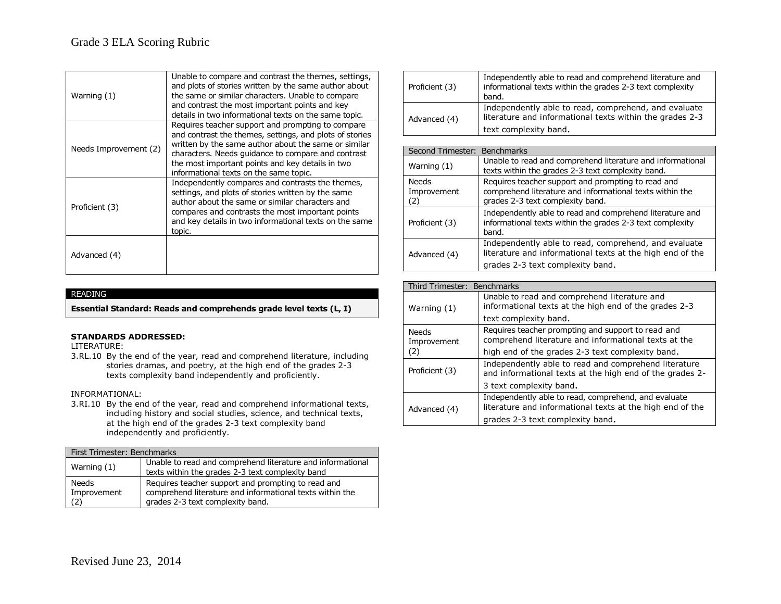| Warning (1)           | Unable to compare and contrast the themes, settings,<br>and plots of stories written by the same author about<br>the same or similar characters. Unable to compare<br>and contrast the most important points and key<br>details in two informational texts on the same topic.                                            |
|-----------------------|--------------------------------------------------------------------------------------------------------------------------------------------------------------------------------------------------------------------------------------------------------------------------------------------------------------------------|
| Needs Improvement (2) | Requires teacher support and prompting to compare<br>and contrast the themes, settings, and plots of stories<br>written by the same author about the same or similar<br>characters. Needs quidance to compare and contrast<br>the most important points and key details in two<br>informational texts on the same topic. |
| Proficient (3)        | Independently compares and contrasts the themes,<br>settings, and plots of stories written by the same<br>author about the same or similar characters and<br>compares and contrasts the most important points<br>and key details in two informational texts on the same<br>topic.                                        |
| Advanced (4)          |                                                                                                                                                                                                                                                                                                                          |

**Essential Standard: Reads and comprehends grade level texts (L, I)**

### **STANDARDS ADDRESSED:**

LITERATURE:

3.RL.10 By the end of the year, read and comprehend literature, including stories dramas, and poetry, at the high end of the grades 2-3 texts complexity band independently and proficiently.

### INFORMATIONAL:

3.RI.10 By the end of the year, read and comprehend informational texts, including history and social studies, science, and technical texts, at the high end of the grades 2-3 text complexity band independently and proficiently.

| First Trimester: Benchmarks        |                                                                                                                                                    |  |
|------------------------------------|----------------------------------------------------------------------------------------------------------------------------------------------------|--|
| Warning $(1)$                      | Unable to read and comprehend literature and informational<br>texts within the grades 2-3 text complexity band                                     |  |
| <b>Needs</b><br>Improvement<br>(2) | Requires teacher support and prompting to read and<br>comprehend literature and informational texts within the<br>grades 2-3 text complexity band. |  |

| Proficient (3) | Independently able to read and comprehend literature and<br>informational texts within the grades 2-3 text complexity<br>band.            |
|----------------|-------------------------------------------------------------------------------------------------------------------------------------------|
| Advanced (4)   | Independently able to read, comprehend, and evaluate<br>literature and informational texts within the grades 2-3<br>text complexity band. |

| Second Trimester: Benchmarks |                                                                                                                                                       |
|------------------------------|-------------------------------------------------------------------------------------------------------------------------------------------------------|
| Warning (1)                  | Unable to read and comprehend literature and informational<br>texts within the grades 2-3 text complexity band.                                       |
| Needs<br>Improvement<br>(2)  | Requires teacher support and prompting to read and<br>comprehend literature and informational texts within the<br>grades 2-3 text complexity band.    |
| Proficient (3)               | Independently able to read and comprehend literature and<br>informational texts within the grades 2-3 text complexity<br>band.                        |
| Advanced (4)                 | Independently able to read, comprehend, and evaluate<br>literature and informational texts at the high end of the<br>grades 2-3 text complexity band. |

| Third Trimester: Benchmarks        |                                                                                                                   |
|------------------------------------|-------------------------------------------------------------------------------------------------------------------|
| Warning (1)                        | Unable to read and comprehend literature and<br>informational texts at the high end of the grades 2-3             |
|                                    | text complexity band.                                                                                             |
| <b>Needs</b><br>Improvement<br>(2) | Requires teacher prompting and support to read and<br>comprehend literature and informational texts at the        |
|                                    | high end of the grades 2-3 text complexity band.                                                                  |
| Proficient (3)                     | Independently able to read and comprehend literature<br>and informational texts at the high end of the grades 2-  |
|                                    | 3 text complexity band.                                                                                           |
| Advanced (4)                       | Independently able to read, comprehend, and evaluate<br>literature and informational texts at the high end of the |
|                                    | grades 2-3 text complexity band.                                                                                  |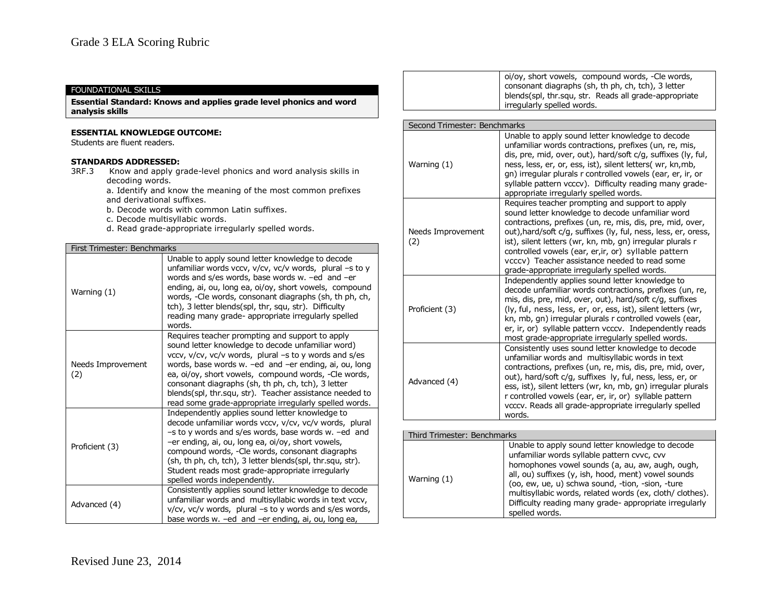# FOUNDATIONAL SKILLS

**Essential Standard: Knows and applies grade level phonics and word analysis skills**

### **ESSENTIAL KNOWLEDGE OUTCOME:**

Students are fluent readers.

- 3RF.3 Know and apply grade-level phonics and word analysis skills in decoding words.
	- a. Identify and know the meaning of the most common prefixes and derivational suffixes.
	- b. Decode words with common Latin suffixes.
	- c. Decode multisyllabic words.
	- d. Read grade-appropriate irregularly spelled words.

| First Trimester: Benchmarks |                                                                                                                                                                                                                                                                                                                                                                                                                                                           |  |
|-----------------------------|-----------------------------------------------------------------------------------------------------------------------------------------------------------------------------------------------------------------------------------------------------------------------------------------------------------------------------------------------------------------------------------------------------------------------------------------------------------|--|
| Warning (1)                 | Unable to apply sound letter knowledge to decode<br>unfamiliar words vccv, v/cv, vc/v words, plural -s to y<br>words and s/es words, base words w. -ed and -er<br>ending, ai, ou, long ea, oi/oy, short vowels, compound<br>words, -Cle words, consonant diagraphs (sh, th ph, ch,<br>tch), 3 letter blends(spl, thr, squ, str). Difficulty<br>reading many grade- appropriate irregularly spelled<br>words.                                              |  |
| Needs Improvement<br>(2)    | Requires teacher prompting and support to apply<br>sound letter knowledge to decode unfamiliar word)<br>vccv, v/cv, vc/v words, plural -s to y words and s/es<br>words, base words w. -ed and -er ending, ai, ou, long<br>ea, oi/oy, short vowels, compound words, -Cle words,<br>consonant diagraphs (sh, th ph, ch, tch), 3 letter<br>blends(spl, thr.squ, str). Teacher assistance needed to<br>read some grade-appropriate irregularly spelled words. |  |
| Proficient (3)              | Independently applies sound letter knowledge to<br>decode unfamiliar words vccv, v/cv, vc/v words, plural<br>-s to y words and s/es words, base words w. -ed and<br>-er ending, ai, ou, long ea, oi/oy, short vowels,<br>compound words, -Cle words, consonant diagraphs<br>(sh, th ph, ch, tch), 3 letter blends(spl, thr.squ, str).<br>Student reads most grade-appropriate irregularly<br>spelled words independently.                                 |  |
| Advanced (4)                | Consistently applies sound letter knowledge to decode<br>unfamiliar words and multisyllabic words in text vccv,<br>v/cv, vc/v words, plural -s to y words and s/es words,<br>base words w. -ed and -er ending, ai, ou, long ea,                                                                                                                                                                                                                           |  |

| oi/oy, short vowels, compound words, -Cle words,<br>consonant diagraphs (sh, th ph, ch, tch), 3 letter<br>blends(spl, thr.squ, str. Reads all grade-appropriate<br>irregularly spelled words. |
|-----------------------------------------------------------------------------------------------------------------------------------------------------------------------------------------------|
|-----------------------------------------------------------------------------------------------------------------------------------------------------------------------------------------------|

| Second Trimester: Benchmarks |                                                                                                                                                                                                                                                                                                                                                                                                                                                          |  |
|------------------------------|----------------------------------------------------------------------------------------------------------------------------------------------------------------------------------------------------------------------------------------------------------------------------------------------------------------------------------------------------------------------------------------------------------------------------------------------------------|--|
| Warning (1)                  | Unable to apply sound letter knowledge to decode<br>unfamiliar words contractions, prefixes (un, re, mis,<br>dis, pre, mid, over, out), hard/soft c/g, suffixes (ly, ful,<br>ness, less, er, or, ess, ist), silent letters( wr, kn,mb,<br>gn) irregular plurals r controlled vowels (ear, er, ir, or<br>syllable pattern vcccv). Difficulty reading many grade-<br>appropriate irregularly spelled words.                                                |  |
| Needs Improvement<br>(2)     | Requires teacher prompting and support to apply<br>sound letter knowledge to decode unfamiliar word<br>contractions, prefixes (un, re, mis, dis, pre, mid, over,<br>out), hard/soft c/g, suffixes (ly, ful, ness, less, er, oress,<br>ist), silent letters (wr, kn, mb, gn) irregular plurals r<br>controlled vowels (ear, er, ir, or) syllable pattern<br>vcccv) Teacher assistance needed to read some<br>grade-appropriate irregularly spelled words. |  |
| Proficient (3)               | Independently applies sound letter knowledge to<br>decode unfamiliar words contractions, prefixes (un, re,<br>mis, dis, pre, mid, over, out), hard/soft c/g, suffixes<br>(ly, ful, ness, less, er, or, ess, ist), silent letters (wr,<br>kn, mb, gn) irregular plurals r controlled vowels (ear,<br>er, ir, or) syllable pattern vcccv. Independently reads<br>most grade-appropriate irregularly spelled words.                                         |  |
| Advanced (4)                 | Consistently uses sound letter knowledge to decode<br>unfamiliar words and multisyllabic words in text<br>contractions, prefixes (un, re, mis, dis, pre, mid, over,<br>out), hard/soft c/g, suffixes ly, ful, ness, less, er, or<br>ess, ist), silent letters (wr, kn, mb, gn) irregular plurals<br>r controlled vowels (ear, er, ir, or) syllable pattern<br>vcccv. Reads all grade-appropriate irregularly spelled<br>words.                           |  |
|                              |                                                                                                                                                                                                                                                                                                                                                                                                                                                          |  |

| Third Trimester: Benchmarks |                                                                                                                                                                                                                                                                                                                                                                                                       |
|-----------------------------|-------------------------------------------------------------------------------------------------------------------------------------------------------------------------------------------------------------------------------------------------------------------------------------------------------------------------------------------------------------------------------------------------------|
| Warning (1)                 | Unable to apply sound letter knowledge to decode<br>unfamiliar words syllable pattern cvvc, cvv<br>homophones vowel sounds (a, au, aw, augh, ough,<br>all, ou) suffixes (y, ish, hood, ment) vowel sounds<br>(oo, ew, ue, u) schwa sound, -tion, -sion, -ture<br>multisyllabic words, related words (ex, cloth/ clothes).<br>Difficulty reading many grade- appropriate irregularly<br>spelled words. |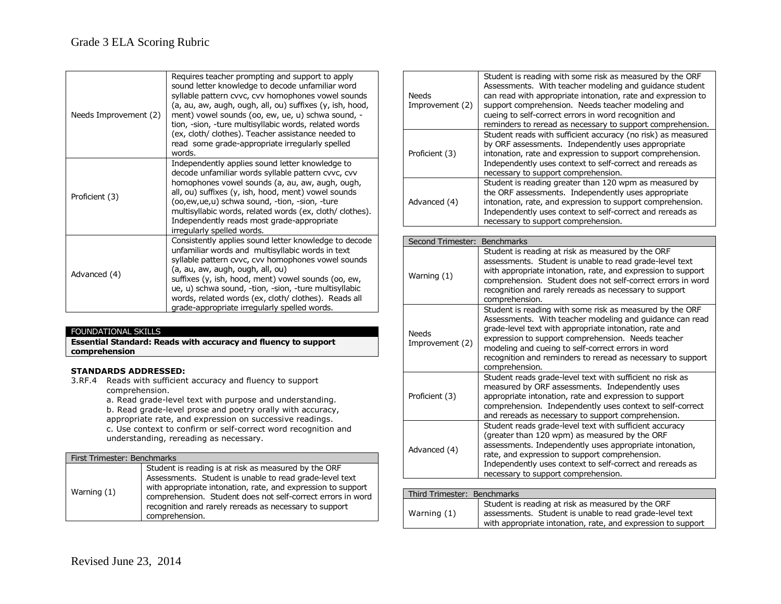| Needs Improvement (2) | Requires teacher prompting and support to apply<br>sound letter knowledge to decode unfamiliar word<br>syllable pattern cvvc, cvv homophones vowel sounds<br>(a, au, aw, augh, ough, all, ou) suffixes (y, ish, hood,<br>ment) vowel sounds (oo, ew, ue, u) schwa sound, -<br>tion, -sion, -ture multisyllabic words, related words<br>(ex, cloth/ clothes). Teacher assistance needed to<br>read some grade-appropriate irregularly spelled<br>words. |
|-----------------------|--------------------------------------------------------------------------------------------------------------------------------------------------------------------------------------------------------------------------------------------------------------------------------------------------------------------------------------------------------------------------------------------------------------------------------------------------------|
| Proficient (3)        | Independently applies sound letter knowledge to<br>decode unfamiliar words syllable pattern cvvc, cvv<br>homophones vowel sounds (a, au, aw, augh, ough,<br>all, ou) suffixes (y, ish, hood, ment) vowel sounds<br>(oo,ew,ue,u) schwa sound, -tion, -sion, -ture<br>multisyllabic words, related words (ex, cloth/ clothes).<br>Independently reads most grade-appropriate<br>irregularly spelled words.                                               |
| Advanced (4)          | Consistently applies sound letter knowledge to decode<br>unfamiliar words and multisyllabic words in text<br>syllable pattern cvvc, cvv homophones vowel sounds<br>(a, au, aw, augh, ough, all, ou)<br>suffixes (y, ish, hood, ment) vowel sounds (oo, ew,<br>ue, u) schwa sound, -tion, -sion, -ture multisyllabic<br>words, related words (ex, cloth/ clothes). Reads all<br>grade-appropriate irregularly spelled words.                            |

## FOUNDATIONAL SKILLS

**Essential Standard: Reads with accuracy and fluency to support comprehension**

### **STANDARDS ADDRESSED:**

3.RF.4 Reads with sufficient accuracy and fluency to support comprehension.

a. Read grade-level text with purpose and understanding. b. Read grade-level prose and poetry orally with accuracy, appropriate rate, and expression on successive readings. c. Use context to confirm or self-correct word recognition and understanding, rereading as necessary.

### First Trimester: Benchmarks

| Warning $(1)$ | Student is reading is at risk as measured by the ORF<br>Assessments. Student is unable to read grade-level text<br>with appropriate intonation, rate, and expression to support<br>comprehension. Student does not self-correct errors in word<br>recognition and rarely rereads as necessary to support<br>comprehension. |
|---------------|----------------------------------------------------------------------------------------------------------------------------------------------------------------------------------------------------------------------------------------------------------------------------------------------------------------------------|
|---------------|----------------------------------------------------------------------------------------------------------------------------------------------------------------------------------------------------------------------------------------------------------------------------------------------------------------------------|

| Needs<br>Improvement (2) | Student is reading with some risk as measured by the ORF<br>Assessments. With teacher modeling and quidance student<br>can read with appropriate intonation, rate and expression to<br>support comprehension. Needs teacher modeling and<br>cueing to self-correct errors in word recognition and<br>reminders to reread as necessary to support comprehension. |
|--------------------------|-----------------------------------------------------------------------------------------------------------------------------------------------------------------------------------------------------------------------------------------------------------------------------------------------------------------------------------------------------------------|
| Proficient (3)           | Student reads with sufficient accuracy (no risk) as measured<br>by ORF assessments. Independently uses appropriate<br>intonation, rate and expression to support comprehension.<br>Independently uses context to self-correct and rereads as<br>necessary to support comprehension.                                                                             |
| Advanced (4)             | Student is reading greater than 120 wpm as measured by<br>the ORF assessments. Independently uses appropriate<br>intonation, rate, and expression to support comprehension.<br>Independently uses context to self-correct and rereads as<br>necessary to support comprehension.                                                                                 |

| <b>Benchmarks</b><br>Second Trimester: |                                                                                                                                                                                                                                                                                                                                                                             |  |
|----------------------------------------|-----------------------------------------------------------------------------------------------------------------------------------------------------------------------------------------------------------------------------------------------------------------------------------------------------------------------------------------------------------------------------|--|
| Warning (1)                            | Student is reading at risk as measured by the ORF<br>assessments. Student is unable to read grade-level text<br>with appropriate intonation, rate, and expression to support<br>comprehension. Student does not self-correct errors in word<br>recognition and rarely rereads as necessary to support<br>comprehension.                                                     |  |
| <b>Needs</b><br>Improvement (2)        | Student is reading with some risk as measured by the ORF<br>Assessments. With teacher modeling and guidance can read<br>grade-level text with appropriate intonation, rate and<br>expression to support comprehension. Needs teacher<br>modeling and cueing to self-correct errors in word<br>recognition and reminders to reread as necessary to support<br>comprehension. |  |
| Proficient (3)                         | Student reads grade-level text with sufficient no risk as<br>measured by ORF assessments. Independently uses<br>appropriate intonation, rate and expression to support<br>comprehension. Independently uses context to self-correct<br>and rereads as necessary to support comprehension.                                                                                   |  |
| Advanced (4)                           | Student reads grade-level text with sufficient accuracy<br>(greater than 120 wpm) as measured by the ORF<br>assessments. Independently uses appropriate intonation,<br>rate, and expression to support comprehension.<br>Independently uses context to self-correct and rereads as<br>necessary to support comprehension.                                                   |  |
|                                        |                                                                                                                                                                                                                                                                                                                                                                             |  |
| Third Trimester: Benchmarks            |                                                                                                                                                                                                                                                                                                                                                                             |  |

| Student is reading at risk as measured by the ORF<br>assessments. Student is unable to read grade-level text<br>Warning (1) | Third Trimester: Benchmarks |                                                              |
|-----------------------------------------------------------------------------------------------------------------------------|-----------------------------|--------------------------------------------------------------|
|                                                                                                                             |                             | with appropriate intonation, rate, and expression to support |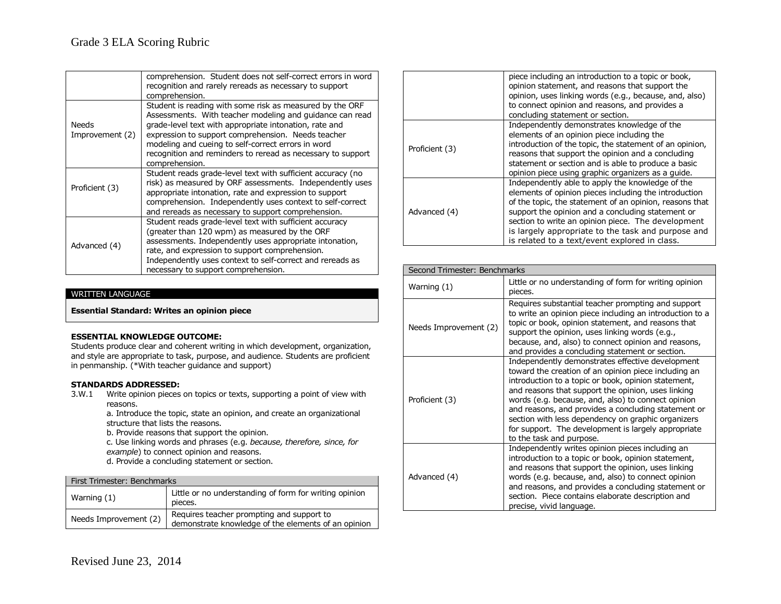|                                 | comprehension. Student does not self-correct errors in word<br>recognition and rarely rereads as necessary to support<br>comprehension.                                                                                                                                                                                                                                     |
|---------------------------------|-----------------------------------------------------------------------------------------------------------------------------------------------------------------------------------------------------------------------------------------------------------------------------------------------------------------------------------------------------------------------------|
| <b>Needs</b><br>Improvement (2) | Student is reading with some risk as measured by the ORF<br>Assessments. With teacher modeling and guidance can read<br>grade-level text with appropriate intonation, rate and<br>expression to support comprehension. Needs teacher<br>modeling and cueing to self-correct errors in word<br>recognition and reminders to reread as necessary to support<br>comprehension. |
| Proficient (3)                  | Student reads grade-level text with sufficient accuracy (no<br>risk) as measured by ORF assessments. Independently uses<br>appropriate intonation, rate and expression to support<br>comprehension. Independently uses context to self-correct<br>and rereads as necessary to support comprehension.                                                                        |
| Advanced (4)                    | Student reads grade-level text with sufficient accuracy<br>(greater than 120 wpm) as measured by the ORF<br>assessments. Independently uses appropriate intonation,<br>rate, and expression to support comprehension.<br>Independently uses context to self-correct and rereads as<br>necessary to support comprehension.                                                   |

### WRITTEN LANGUAGE

**Essential Standard: Writes an opinion piece**

### **ESSENTIAL KNOWLEDGE OUTCOME:**

Students produce clear and coherent writing in which development, organization, and style are appropriate to task, purpose, and audience. Students are proficient in penmanship. (\*With teacher guidance and support)

### **STANDARDS ADDRESSED:**

3.W.1 Write opinion pieces on topics or texts, supporting a point of view with reasons.

a. Introduce the topic, state an opinion, and create an organizational structure that lists the reasons.

b. Provide reasons that support the opinion.

c. Use linking words and phrases (e.g. *because, therefore, since, for example*) to connect opinion and reasons.

d. Provide a concluding statement or section.

| First Trimester: Benchmarks |                                                                                                  |
|-----------------------------|--------------------------------------------------------------------------------------------------|
| Warning $(1)$               | Little or no understanding of form for writing opinion<br>pieces.                                |
| Needs Improvement (2)       | Requires teacher prompting and support to<br>demonstrate knowledge of the elements of an opinion |

|                | piece including an introduction to a topic or book,<br>opinion statement, and reasons that support the<br>opinion, uses linking words (e.g., because, and, also)<br>to connect opinion and reasons, and provides a<br>concluding statement or section.                                                                                                                                 |
|----------------|----------------------------------------------------------------------------------------------------------------------------------------------------------------------------------------------------------------------------------------------------------------------------------------------------------------------------------------------------------------------------------------|
| Proficient (3) | Independently demonstrates knowledge of the<br>elements of an opinion piece including the<br>introduction of the topic, the statement of an opinion,<br>reasons that support the opinion and a concluding<br>statement or section and is able to produce a basic<br>opinion piece using graphic organizers as a guide.                                                                 |
| Advanced (4)   | Independently able to apply the knowledge of the<br>elements of opinion pieces including the introduction<br>of the topic, the statement of an opinion, reasons that<br>support the opinion and a concluding statement or<br>section to write an opinion piece. The development<br>is largely appropriate to the task and purpose and<br>is related to a text/event explored in class. |

| Second Trimester: Benchmarks |                                                                                                                                                                                                                                                                                                                                                                                                                                                                             |
|------------------------------|-----------------------------------------------------------------------------------------------------------------------------------------------------------------------------------------------------------------------------------------------------------------------------------------------------------------------------------------------------------------------------------------------------------------------------------------------------------------------------|
| Warning (1)                  | Little or no understanding of form for writing opinion<br>pieces.                                                                                                                                                                                                                                                                                                                                                                                                           |
| Needs Improvement (2)        | Requires substantial teacher prompting and support<br>to write an opinion piece including an introduction to a<br>topic or book, opinion statement, and reasons that<br>support the opinion, uses linking words (e.g.,<br>because, and, also) to connect opinion and reasons,<br>and provides a concluding statement or section.                                                                                                                                            |
| Proficient (3)               | Independently demonstrates effective development<br>toward the creation of an opinion piece including an<br>introduction to a topic or book, opinion statement,<br>and reasons that support the opinion, uses linking<br>words (e.g. because, and, also) to connect opinion<br>and reasons, and provides a concluding statement or<br>section with less dependency on graphic organizers<br>for support. The development is largely appropriate<br>to the task and purpose. |
| Advanced (4)                 | Independently writes opinion pieces including an<br>introduction to a topic or book, opinion statement,<br>and reasons that support the opinion, uses linking<br>words (e.g. because, and, also) to connect opinion<br>and reasons, and provides a concluding statement or<br>section. Piece contains elaborate description and<br>precise, vivid language.                                                                                                                 |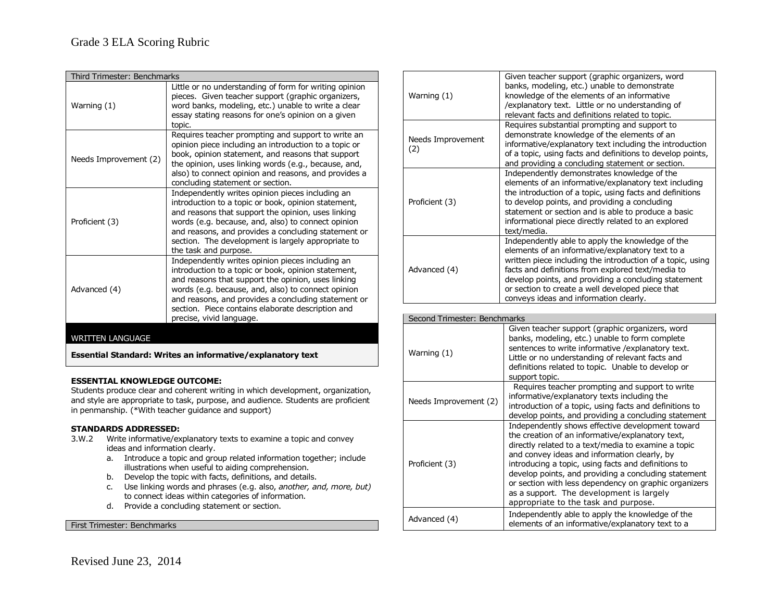| Third Trimester: Benchmarks |                                                                                                                                                                                                                                                                                                                                                             |
|-----------------------------|-------------------------------------------------------------------------------------------------------------------------------------------------------------------------------------------------------------------------------------------------------------------------------------------------------------------------------------------------------------|
| Warning (1)                 | Little or no understanding of form for writing opinion<br>pieces. Given teacher support (graphic organizers,<br>word banks, modeling, etc.) unable to write a clear<br>essay stating reasons for one's opinion on a given<br>topic.                                                                                                                         |
| Needs Improvement (2)       | Requires teacher prompting and support to write an<br>opinion piece including an introduction to a topic or<br>book, opinion statement, and reasons that support<br>the opinion, uses linking words (e.g., because, and,<br>also) to connect opinion and reasons, and provides a<br>concluding statement or section.                                        |
| Proficient (3)              | Independently writes opinion pieces including an<br>introduction to a topic or book, opinion statement,<br>and reasons that support the opinion, uses linking<br>words (e.g. because, and, also) to connect opinion<br>and reasons, and provides a concluding statement or<br>section. The development is largely appropriate to<br>the task and purpose.   |
| Advanced (4)                | Independently writes opinion pieces including an<br>introduction to a topic or book, opinion statement,<br>and reasons that support the opinion, uses linking<br>words (e.g. because, and, also) to connect opinion<br>and reasons, and provides a concluding statement or<br>section. Piece contains elaborate description and<br>precise, vivid language. |
| $\lambda$ /DITTENII ANCIIA  |                                                                                                                                                                                                                                                                                                                                                             |

### WRITTEN LANGUAGE

**Essential Standard: Writes an informative/explanatory text**

### **ESSENTIAL KNOWLEDGE OUTCOME:**

Students produce clear and coherent writing in which development, organization, and style are appropriate to task, purpose, and audience. Students are proficient in penmanship. (\*With teacher guidance and support)

### **STANDARDS ADDRESSED:**

- 3.W.2 Write informative/explanatory texts to examine a topic and convey ideas and information clearly.
	- a. Introduce a topic and group related information together; include illustrations when useful to aiding comprehension.
	- b. Develop the topic with facts, definitions, and details.
	- c. Use linking words and phrases (e.g. also, *another, and, more, but)* to connect ideas within categories of information.
	- d. Provide a concluding statement or section.

First Trimester: Benchmarks

|  | Warning (1)              | Given teacher support (graphic organizers, word<br>banks, modeling, etc.) unable to demonstrate<br>knowledge of the elements of an informative<br>/explanatory text. Little or no understanding of<br>relevant facts and definitions related to topic.                                                                                                                        |
|--|--------------------------|-------------------------------------------------------------------------------------------------------------------------------------------------------------------------------------------------------------------------------------------------------------------------------------------------------------------------------------------------------------------------------|
|  | Needs Improvement<br>(2) | Requires substantial prompting and support to<br>demonstrate knowledge of the elements of an<br>informative/explanatory text including the introduction<br>of a topic, using facts and definitions to develop points,<br>and providing a concluding statement or section.                                                                                                     |
|  | Proficient (3)           | Independently demonstrates knowledge of the<br>elements of an informative/explanatory text including<br>the introduction of a topic, using facts and definitions<br>to develop points, and providing a concluding<br>statement or section and is able to produce a basic<br>informational piece directly related to an explored<br>text/media.                                |
|  | Advanced (4)             | Independently able to apply the knowledge of the<br>elements of an informative/explanatory text to a<br>written piece including the introduction of a topic, using<br>facts and definitions from explored text/media to<br>develop points, and providing a concluding statement<br>or section to create a well developed piece that<br>conveys ideas and information clearly. |

| Second Trimester: Benchmarks |                                                                                                                                                                                                                                                                                                                                                                                                                                                                         |  |
|------------------------------|-------------------------------------------------------------------------------------------------------------------------------------------------------------------------------------------------------------------------------------------------------------------------------------------------------------------------------------------------------------------------------------------------------------------------------------------------------------------------|--|
| Warning (1)                  | Given teacher support (graphic organizers, word<br>banks, modeling, etc.) unable to form complete<br>sentences to write informative / explanatory text.<br>Little or no understanding of relevant facts and<br>definitions related to topic. Unable to develop or<br>support topic.                                                                                                                                                                                     |  |
| Needs Improvement (2)        | Requires teacher prompting and support to write<br>informative/explanatory texts including the<br>introduction of a topic, using facts and definitions to<br>develop points, and providing a concluding statement                                                                                                                                                                                                                                                       |  |
| Proficient (3)               | Independently shows effective development toward<br>the creation of an informative/explanatory text,<br>directly related to a text/media to examine a topic<br>and convey ideas and information clearly, by<br>introducing a topic, using facts and definitions to<br>develop points, and providing a concluding statement<br>or section with less dependency on graphic organizers<br>as a support. The development is largely<br>appropriate to the task and purpose. |  |
| Advanced (4)                 | Independently able to apply the knowledge of the<br>elements of an informative/explanatory text to a                                                                                                                                                                                                                                                                                                                                                                    |  |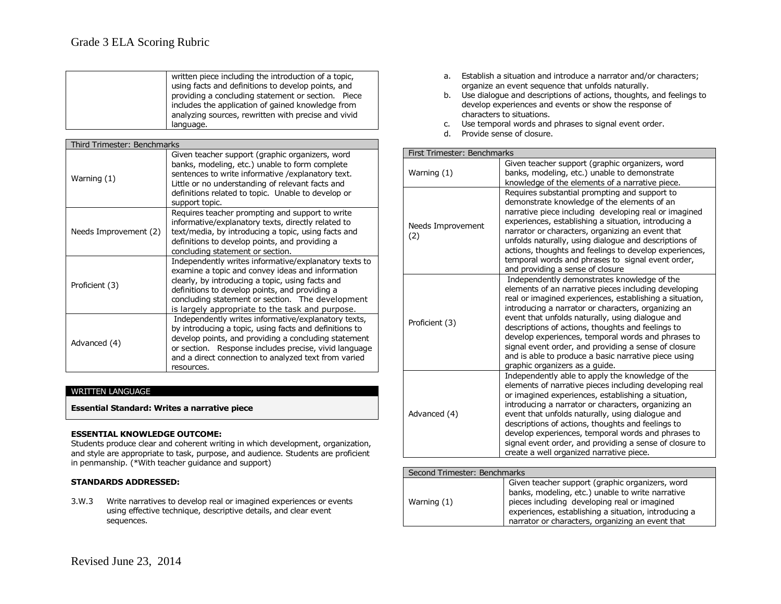# Grade 3 ELA Scoring Rubric

| written piece including the introduction of a topic,<br>using facts and definitions to develop points, and<br>providing a concluding statement or section. Piece<br>includes the application of gained knowledge from<br>analyzing sources, rewritten with precise and vivid<br>language. |
|-------------------------------------------------------------------------------------------------------------------------------------------------------------------------------------------------------------------------------------------------------------------------------------------|
|-------------------------------------------------------------------------------------------------------------------------------------------------------------------------------------------------------------------------------------------------------------------------------------------|

| Third Trimester: Benchmarks |                                                                                                                                                                                                                                                                                                                        |  |
|-----------------------------|------------------------------------------------------------------------------------------------------------------------------------------------------------------------------------------------------------------------------------------------------------------------------------------------------------------------|--|
| Warning (1)                 | Given teacher support (graphic organizers, word<br>banks, modeling, etc.) unable to form complete<br>sentences to write informative / explanatory text.<br>Little or no understanding of relevant facts and<br>definitions related to topic. Unable to develop or<br>support topic.                                    |  |
| Needs Improvement (2)       | Requires teacher prompting and support to write<br>informative/explanatory texts, directly related to<br>text/media, by introducing a topic, using facts and<br>definitions to develop points, and providing a<br>concluding statement or section.                                                                     |  |
| Proficient (3)              | Independently writes informative/explanatory texts to<br>examine a topic and convey ideas and information<br>clearly, by introducing a topic, using facts and<br>definitions to develop points, and providing a<br>concluding statement or section. The development<br>is largely appropriate to the task and purpose. |  |
| Advanced (4)                | Independently writes informative/explanatory texts,<br>by introducing a topic, using facts and definitions to<br>develop points, and providing a concluding statement<br>or section. Response includes precise, vivid language<br>and a direct connection to analyzed text from varied<br>resources.                   |  |

### WRITTEN LANGUAGE

**Essential Standard: Writes a narrative piece**

### **ESSENTIAL KNOWLEDGE OUTCOME:**

Students produce clear and coherent writing in which development, organization, and style are appropriate to task, purpose, and audience. Students are proficient in penmanship. (\*With teacher guidance and support)

### **STANDARDS ADDRESSED:**

3.W.3 Write narratives to develop real or imagined experiences or events using effective technique, descriptive details, and clear event sequences.

- a. Establish a situation and introduce a narrator and/or characters; organize an event sequence that unfolds naturally.
- b. Use dialogue and descriptions of actions, thoughts, and feelings to develop experiences and events or show the response of characters to situations.
- c. Use temporal words and phrases to signal event order.
- d. Provide sense of closure.

|  | First Trimester: Benchmarks |
|--|-----------------------------|
|  |                             |

| Warning (1)              | Given teacher support (graphic organizers, word<br>banks, modeling, etc.) unable to demonstrate<br>knowledge of the elements of a narrative piece.                                                                                                                                                                                                                                                                                                                                                                                     |
|--------------------------|----------------------------------------------------------------------------------------------------------------------------------------------------------------------------------------------------------------------------------------------------------------------------------------------------------------------------------------------------------------------------------------------------------------------------------------------------------------------------------------------------------------------------------------|
| Needs Improvement<br>(2) | Requires substantial prompting and support to<br>demonstrate knowledge of the elements of an<br>narrative piece including developing real or imagined<br>experiences, establishing a situation, introducing a<br>narrator or characters, organizing an event that<br>unfolds naturally, using dialogue and descriptions of<br>actions, thoughts and feelings to develop experiences,<br>temporal words and phrases to signal event order,<br>and providing a sense of closure                                                          |
| Proficient (3)           | Independently demonstrates knowledge of the<br>elements of an narrative pieces including developing<br>real or imagined experiences, establishing a situation,<br>introducing a narrator or characters, organizing an<br>event that unfolds naturally, using dialogue and<br>descriptions of actions, thoughts and feelings to<br>develop experiences, temporal words and phrases to<br>signal event order, and providing a sense of closure<br>and is able to produce a basic narrative piece using<br>graphic organizers as a guide. |
| Advanced (4)             | Independently able to apply the knowledge of the<br>elements of narrative pieces including developing real<br>or imagined experiences, establishing a situation,<br>introducing a narrator or characters, organizing an<br>event that unfolds naturally, using dialogue and<br>descriptions of actions, thoughts and feelings to<br>develop experiences, temporal words and phrases to<br>signal event order, and providing a sense of closure to<br>create a well organized narrative piece.                                          |

| Second Trimester: Benchmarks |                                                                                                                                                                                                                                                                 |
|------------------------------|-----------------------------------------------------------------------------------------------------------------------------------------------------------------------------------------------------------------------------------------------------------------|
| Warning (1)                  | Given teacher support (graphic organizers, word<br>banks, modeling, etc.) unable to write narrative<br>pieces including developing real or imagined<br>experiences, establishing a situation, introducing a<br>narrator or characters, organizing an event that |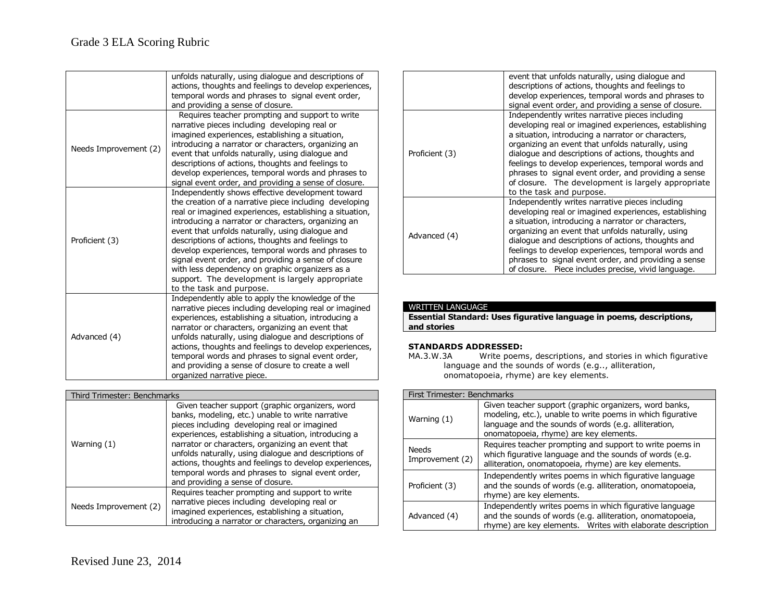|                       | unfolds naturally, using dialogue and descriptions of<br>actions, thoughts and feelings to develop experiences,<br>temporal words and phrases to signal event order,<br>and providing a sense of closure.                                                                                                                                                                                                                                                                                                                                                                             |
|-----------------------|---------------------------------------------------------------------------------------------------------------------------------------------------------------------------------------------------------------------------------------------------------------------------------------------------------------------------------------------------------------------------------------------------------------------------------------------------------------------------------------------------------------------------------------------------------------------------------------|
| Needs Improvement (2) | Requires teacher prompting and support to write<br>narrative pieces including developing real or<br>imagined experiences, establishing a situation,<br>introducing a narrator or characters, organizing an<br>event that unfolds naturally, using dialogue and<br>descriptions of actions, thoughts and feelings to<br>develop experiences, temporal words and phrases to<br>signal event order, and providing a sense of closure.                                                                                                                                                    |
| Proficient (3)        | Independently shows effective development toward<br>the creation of a narrative piece including developing<br>real or imagined experiences, establishing a situation,<br>introducing a narrator or characters, organizing an<br>event that unfolds naturally, using dialogue and<br>descriptions of actions, thoughts and feelings to<br>develop experiences, temporal words and phrases to<br>signal event order, and providing a sense of closure<br>with less dependency on graphic organizers as a<br>support. The development is largely appropriate<br>to the task and purpose. |
| Advanced (4)          | Independently able to apply the knowledge of the<br>narrative pieces including developing real or imagined<br>experiences, establishing a situation, introducing a<br>narrator or characters, organizing an event that<br>unfolds naturally, using dialogue and descriptions of<br>actions, thoughts and feelings to develop experiences,<br>temporal words and phrases to signal event order,<br>and providing a sense of closure to create a well<br>organized narrative piece.                                                                                                     |

| Third Trimester: Benchmarks |                                                                                                                                                                                                                                                                                                                                                                                                                                                                              |  |
|-----------------------------|------------------------------------------------------------------------------------------------------------------------------------------------------------------------------------------------------------------------------------------------------------------------------------------------------------------------------------------------------------------------------------------------------------------------------------------------------------------------------|--|
| Warning (1)                 | Given teacher support (graphic organizers, word<br>banks, modeling, etc.) unable to write narrative<br>pieces including developing real or imagined<br>experiences, establishing a situation, introducing a<br>narrator or characters, organizing an event that<br>unfolds naturally, using dialogue and descriptions of<br>actions, thoughts and feelings to develop experiences,<br>temporal words and phrases to signal event order,<br>and providing a sense of closure. |  |
| Needs Improvement (2)       | Requires teacher prompting and support to write<br>narrative pieces including developing real or<br>imagined experiences, establishing a situation,<br>introducing a narrator or characters, organizing an                                                                                                                                                                                                                                                                   |  |

|                | event that unfolds naturally, using dialogue and<br>descriptions of actions, thoughts and feelings to<br>develop experiences, temporal words and phrases to<br>signal event order, and providing a sense of closure.                                                                                                                                                                                                                                                       |
|----------------|----------------------------------------------------------------------------------------------------------------------------------------------------------------------------------------------------------------------------------------------------------------------------------------------------------------------------------------------------------------------------------------------------------------------------------------------------------------------------|
| Proficient (3) | Independently writes narrative pieces including<br>developing real or imagined experiences, establishing<br>a situation, introducing a narrator or characters,<br>organizing an event that unfolds naturally, using<br>dialogue and descriptions of actions, thoughts and<br>feelings to develop experiences, temporal words and<br>phrases to signal event order, and providing a sense<br>of closure. The development is largely appropriate<br>to the task and purpose. |
| Advanced (4)   | Independently writes narrative pieces including<br>developing real or imagined experiences, establishing<br>a situation, introducing a narrator or characters,<br>organizing an event that unfolds naturally, using<br>dialogue and descriptions of actions, thoughts and<br>feelings to develop experiences, temporal words and<br>phrases to signal event order, and providing a sense<br>of closure. Piece includes precise, vivid language.                            |

### WRITTEN LANGUAGE

**Essential Standard: Uses figurative language in poems, descriptions, and stories**

# **STANDARDS ADDRESSED:**<br>MA.3.W.3A Write poem

Write poems, descriptions, and stories in which figurative language and the sounds of words (e.g.., alliteration, onomatopoeia, rhyme) are key elements.

| First Trimester: Benchmarks |                                                                                                                                                                                                                        |
|-----------------------------|------------------------------------------------------------------------------------------------------------------------------------------------------------------------------------------------------------------------|
| Warning (1)                 | Given teacher support (graphic organizers, word banks,<br>modeling, etc.), unable to write poems in which figurative<br>language and the sounds of words (e.g. alliteration,<br>onomatopoeia, rhyme) are key elements. |
| Needs<br>Improvement (2)    | Requires teacher prompting and support to write poems in<br>which figurative language and the sounds of words (e.g.<br>alliteration, onomatopoeia, rhyme) are key elements.                                            |
| Proficient (3)              | Independently writes poems in which figurative language<br>and the sounds of words (e.g. alliteration, onomatopoeia,<br>rhyme) are key elements.                                                                       |
| Advanced (4)                | Independently writes poems in which figurative language<br>and the sounds of words (e.g. alliteration, onomatopoeia,<br>rhyme) are key elements. Writes with elaborate description                                     |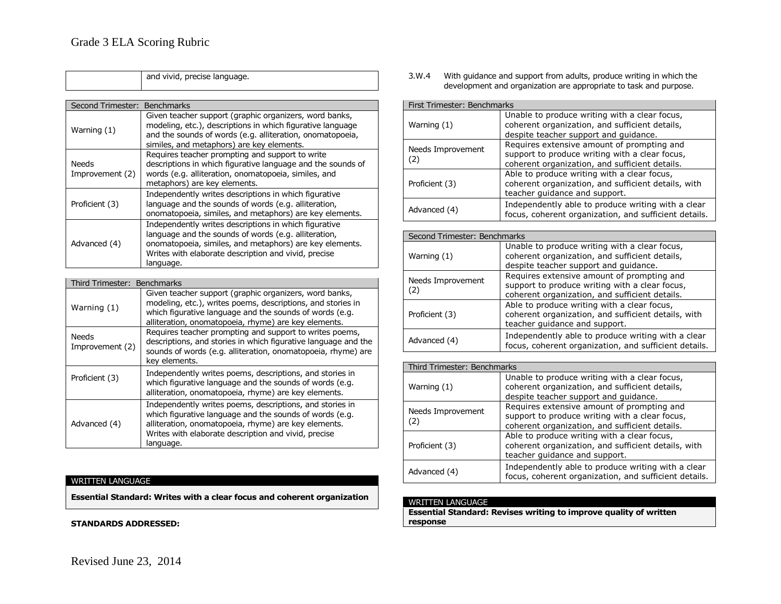|                                 | and vivid, precise language.                                                                                                                                                                                                                  |
|---------------------------------|-----------------------------------------------------------------------------------------------------------------------------------------------------------------------------------------------------------------------------------------------|
|                                 |                                                                                                                                                                                                                                               |
| Second Trimester:               | <b>Benchmarks</b>                                                                                                                                                                                                                             |
| Warning (1)                     | Given teacher support (graphic organizers, word banks,<br>modeling, etc.), descriptions in which figurative language<br>and the sounds of words (e.g. alliteration, onomatopoeia,<br>similes, and metaphors) are key elements.                |
| <b>Needs</b><br>Improvement (2) | Requires teacher prompting and support to write<br>descriptions in which figurative language and the sounds of<br>words (e.g. alliteration, onomatopoeia, similes, and<br>metaphors) are key elements.                                        |
| Proficient (3)                  | Independently writes descriptions in which figurative<br>language and the sounds of words (e.g. alliteration,<br>onomatopoeia, similes, and metaphors) are key elements.                                                                      |
| Advanced (4)                    | Independently writes descriptions in which figurative<br>language and the sounds of words (e.g. alliteration,<br>onomatopoeia, similes, and metaphors) are key elements.<br>Writes with elaborate description and vivid, precise<br>language. |
|                                 |                                                                                                                                                                                                                                               |
| Third Trimester:                | Benchmarks                                                                                                                                                                                                                                    |
| Warning $(1)$                   | Given teacher support (graphic organizers, word banks,<br>modeling, etc.), writes poems, descriptions, and stories in<br>which figurative language and the sounds of words (e.g.<br>alliteration, onomatopoeia, rhyme) are key elements.      |
| <b>Needs</b><br>Improvement (2) | Requires teacher prompting and support to writes poems,<br>descriptions, and stories in which figurative language and the<br>sounds of words (e.g. alliteration, onomatopoeia, rhyme) are<br>key elements.                                    |
|                                 | Independently writes poems descriptions and stories in                                                                                                                                                                                        |

|                | הכי כוכו וכותא.                                                                                                                                                                                                                                  |
|----------------|--------------------------------------------------------------------------------------------------------------------------------------------------------------------------------------------------------------------------------------------------|
| Proficient (3) | Independently writes poems, descriptions, and stories in<br>which figurative language and the sounds of words (e.g.<br>alliteration, onomatopoeia, rhyme) are key elements.                                                                      |
| Advanced (4)   | Independently writes poems, descriptions, and stories in<br>which figurative language and the sounds of words (e.g.<br>alliteration, onomatopoeia, rhyme) are key elements.<br>Writes with elaborate description and vivid, precise<br>language. |

# WRITTEN LANGUAGE

**Essential Standard: Writes with a clear focus and coherent organization**

**STANDARDS ADDRESSED:**

3.W.4 With guidance and support from adults, produce writing in which the development and organization are appropriate to task and purpose.

| First Trimester: Benchmarks |                                                                                                                                                |  |  |
|-----------------------------|------------------------------------------------------------------------------------------------------------------------------------------------|--|--|
| Warning (1)                 | Unable to produce writing with a clear focus,<br>coherent organization, and sufficient details,<br>despite teacher support and quidance.       |  |  |
| Needs Improvement<br>(2)    | Requires extensive amount of prompting and<br>support to produce writing with a clear focus,<br>coherent organization, and sufficient details. |  |  |
| Proficient (3)              | Able to produce writing with a clear focus,<br>coherent organization, and sufficient details, with<br>teacher quidance and support.            |  |  |
| Advanced (4)                | Independently able to produce writing with a clear<br>focus, coherent organization, and sufficient details.                                    |  |  |

| Second Trimester: Benchmarks |                                                                                                                                                |  |
|------------------------------|------------------------------------------------------------------------------------------------------------------------------------------------|--|
| Warning (1)                  | Unable to produce writing with a clear focus,<br>coherent organization, and sufficient details,<br>despite teacher support and guidance.       |  |
| Needs Improvement<br>(2)     | Requires extensive amount of prompting and<br>support to produce writing with a clear focus,<br>coherent organization, and sufficient details. |  |
| Proficient (3)               | Able to produce writing with a clear focus,<br>coherent organization, and sufficient details, with<br>teacher quidance and support.            |  |
| Advanced (4)                 | Independently able to produce writing with a clear<br>focus, coherent organization, and sufficient details.                                    |  |

| Third Trimester: Benchmarks |                                                                                                                                                |  |  |
|-----------------------------|------------------------------------------------------------------------------------------------------------------------------------------------|--|--|
| Warning (1)                 | Unable to produce writing with a clear focus,<br>coherent organization, and sufficient details,<br>despite teacher support and guidance.       |  |  |
| Needs Improvement<br>(2)    | Requires extensive amount of prompting and<br>support to produce writing with a clear focus,<br>coherent organization, and sufficient details. |  |  |
| Proficient (3)              | Able to produce writing with a clear focus,<br>coherent organization, and sufficient details, with<br>teacher quidance and support.            |  |  |
| Advanced (4)                | Independently able to produce writing with a clear<br>focus, coherent organization, and sufficient details.                                    |  |  |

### WRITTEN LANGUAGE

**Essential Standard: Revises writing to improve quality of written response**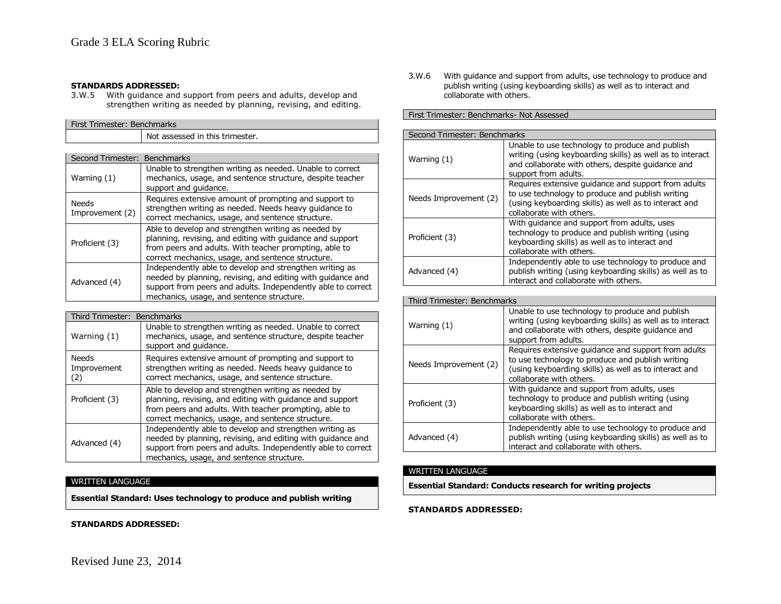### **STANDARDS ADDRESSED:**

3.W.5 With guidance and support from peers and adults, develop and strengthen writing as needed by planning, revising, and editing.

| First Trimester: Benchmarks     |                                                                                                                                                                                                                                     |  |  |
|---------------------------------|-------------------------------------------------------------------------------------------------------------------------------------------------------------------------------------------------------------------------------------|--|--|
|                                 | Not assessed in this trimester.                                                                                                                                                                                                     |  |  |
|                                 |                                                                                                                                                                                                                                     |  |  |
| Second Trimester: Benchmarks    |                                                                                                                                                                                                                                     |  |  |
| Warning (1)                     | Unable to strengthen writing as needed. Unable to correct<br>mechanics, usage, and sentence structure, despite teacher<br>support and quidance.                                                                                     |  |  |
| <b>Needs</b><br>Improvement (2) | Requires extensive amount of prompting and support to<br>strengthen writing as needed. Needs heavy guidance to<br>correct mechanics, usage, and sentence structure.                                                                 |  |  |
| Proficient (3)                  | Able to develop and strengthen writing as needed by<br>planning, revising, and editing with quidance and support<br>from peers and adults. With teacher prompting, able to<br>correct mechanics, usage, and sentence structure.     |  |  |
| Advanced (4)                    | Independently able to develop and strengthen writing as<br>needed by planning, revising, and editing with guidance and<br>support from peers and adults. Independently able to correct<br>mechanics, usage, and sentence structure. |  |  |

| Third Trimester: Benchmarks                                                                                                                                    |                                                                                                                                                                                                                                     |  |
|----------------------------------------------------------------------------------------------------------------------------------------------------------------|-------------------------------------------------------------------------------------------------------------------------------------------------------------------------------------------------------------------------------------|--|
| Unable to strengthen writing as needed. Unable to correct<br>mechanics, usage, and sentence structure, despite teacher<br>Warning (1)<br>support and quidance. |                                                                                                                                                                                                                                     |  |
| <b>Needs</b><br>Improvement<br>(2)                                                                                                                             | Requires extensive amount of prompting and support to<br>strengthen writing as needed. Needs heavy guidance to<br>correct mechanics, usage, and sentence structure.                                                                 |  |
| Proficient (3)                                                                                                                                                 | Able to develop and strengthen writing as needed by<br>planning, revising, and editing with guidance and support<br>from peers and adults. With teacher prompting, able to<br>correct mechanics, usage, and sentence structure.     |  |
| Advanced (4)                                                                                                                                                   | Independently able to develop and strengthen writing as<br>needed by planning, revising, and editing with guidance and<br>support from peers and adults. Independently able to correct<br>mechanics, usage, and sentence structure. |  |

### WRITTEN LANGUAGE

**Essential Standard: Uses technology to produce and publish writing**

**STANDARDS ADDRESSED:**

3.W.6 With guidance and support from adults, use technology to produce and publish writing (using keyboarding skills) as well as to interact and collaborate with others.

### First Trimester: Benchmarks- Not Assessed

| Second Trimester: Benchmarks |                                                                                                                                                                                              |
|------------------------------|----------------------------------------------------------------------------------------------------------------------------------------------------------------------------------------------|
| Warning (1)                  | Unable to use technology to produce and publish<br>writing (using keyboarding skills) as well as to interact<br>and collaborate with others, despite guidance and<br>support from adults.    |
| Needs Improvement (2)        | Requires extensive guidance and support from adults<br>to use technology to produce and publish writing<br>(using keyboarding skills) as well as to interact and<br>collaborate with others. |
| Proficient (3)               | With quidance and support from adults, uses<br>technology to produce and publish writing (using<br>keyboarding skills) as well as to interact and<br>collaborate with others.                |
| Advanced (4)                 | Independently able to use technology to produce and<br>publish writing (using keyboarding skills) as well as to<br>interact and collaborate with others.                                     |
|                              |                                                                                                                                                                                              |
| Third Trimester: Benchmarks  |                                                                                                                                                                                              |
| Warning (1)                  | Unable to use technology to produce and publish<br>writing (using keyboarding skills) as well as to interact<br>and collaborate with others, despite guidance and<br>support from adults.    |
| Needs Improvement (2)        | Requires extensive guidance and support from adults<br>to use technology to produce and publish writing<br>(using keyboarding skills) as well as to interact and<br>collaborate with others. |
|                              | With guidance and support from adults, uses<br>teels selection to produce and subject which in a function                                                                                    |

| Proficient (3) | technology to produce and publish writing (using<br>keyboarding skills) as well as to interact and<br>collaborate with others.                           |
|----------------|----------------------------------------------------------------------------------------------------------------------------------------------------------|
| Advanced (4)   | Independently able to use technology to produce and<br>publish writing (using keyboarding skills) as well as to<br>interact and collaborate with others. |

# WRITTEN LANGUAGE

**Essential Standard: Conducts research for writing projects**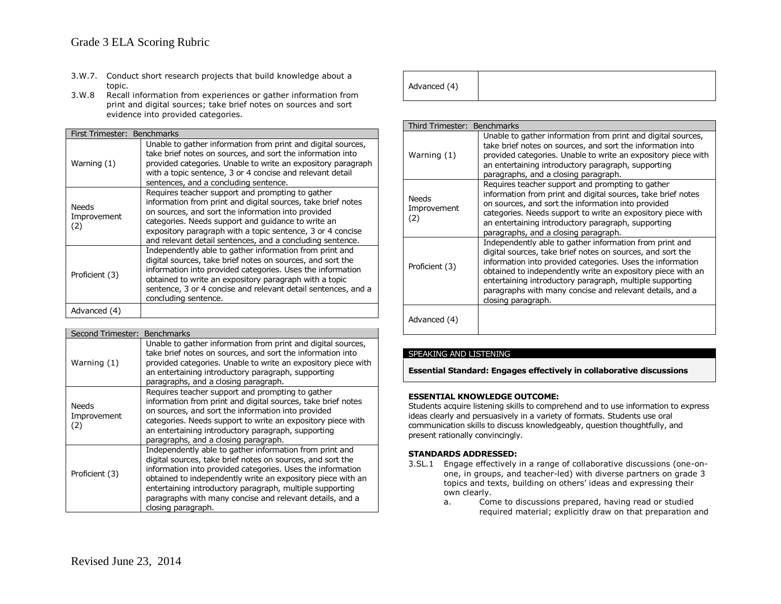# Grade 3 ELA Scoring Rubric

- 3.W.7. Conduct short research projects that build knowledge about a topic.
- 3.W.8 Recall information from experiences or gather information from print and digital sources; take brief notes on sources and sort evidence into provided categories.

|                             | First Trimester: Benchmarks                                                                                                                                                                                                                                                                                                                             |  |  |
|-----------------------------|---------------------------------------------------------------------------------------------------------------------------------------------------------------------------------------------------------------------------------------------------------------------------------------------------------------------------------------------------------|--|--|
| Warning (1)                 | Unable to gather information from print and digital sources,<br>take brief notes on sources, and sort the information into<br>provided categories. Unable to write an expository paragraph<br>with a topic sentence, 3 or 4 concise and relevant detail<br>sentences, and a concluding sentence.                                                        |  |  |
| Needs<br>Improvement<br>(2) | Requires teacher support and prompting to gather<br>information from print and digital sources, take brief notes<br>on sources, and sort the information into provided<br>categories. Needs support and quidance to write an<br>expository paragraph with a topic sentence, 3 or 4 concise<br>and relevant detail sentences, and a concluding sentence. |  |  |
| Proficient (3)              | Independently able to gather information from print and<br>digital sources, take brief notes on sources, and sort the<br>information into provided categories. Uses the information<br>obtained to write an expository paragraph with a topic<br>sentence, 3 or 4 concise and relevant detail sentences, and a<br>concluding sentence.                  |  |  |
| Advanced (4)                |                                                                                                                                                                                                                                                                                                                                                         |  |  |

| Second Trimester: Benchmarks       |                                                                                                                                                                                                                                                                                                                                                                                                  |  |  |
|------------------------------------|--------------------------------------------------------------------------------------------------------------------------------------------------------------------------------------------------------------------------------------------------------------------------------------------------------------------------------------------------------------------------------------------------|--|--|
| Warning (1)                        | Unable to gather information from print and digital sources,<br>take brief notes on sources, and sort the information into<br>provided categories. Unable to write an expository piece with<br>an entertaining introductory paragraph, supporting<br>paragraphs, and a closing paragraph.                                                                                                        |  |  |
| <b>Needs</b><br>Improvement<br>(2) | Requires teacher support and prompting to gather<br>information from print and digital sources, take brief notes<br>on sources, and sort the information into provided<br>categories. Needs support to write an expository piece with<br>an entertaining introductory paragraph, supporting<br>paragraphs, and a closing paragraph.                                                              |  |  |
| Proficient (3)                     | Independently able to gather information from print and<br>digital sources, take brief notes on sources, and sort the<br>information into provided categories. Uses the information<br>obtained to independently write an expository piece with an<br>entertaining introductory paragraph, multiple supporting<br>paragraphs with many concise and relevant details, and a<br>closing paragraph. |  |  |

| Advanced (4) |  |  |  |  |  |  |
|--------------|--|--|--|--|--|--|
|--------------|--|--|--|--|--|--|

| Third Trimester: Benchmarks        |                                                                                                                                                                                                                                                                                                                                                                                                  |
|------------------------------------|--------------------------------------------------------------------------------------------------------------------------------------------------------------------------------------------------------------------------------------------------------------------------------------------------------------------------------------------------------------------------------------------------|
| Warning (1)                        | Unable to gather information from print and digital sources,<br>take brief notes on sources, and sort the information into<br>provided categories. Unable to write an expository piece with<br>an entertaining introductory paragraph, supporting<br>paragraphs, and a closing paragraph.                                                                                                        |
| <b>Needs</b><br>Improvement<br>(2) | Requires teacher support and prompting to gather<br>information from print and digital sources, take brief notes<br>on sources, and sort the information into provided<br>categories. Needs support to write an expository piece with<br>an entertaining introductory paragraph, supporting<br>paragraphs, and a closing paragraph.                                                              |
| Proficient (3)                     | Independently able to gather information from print and<br>digital sources, take brief notes on sources, and sort the<br>information into provided categories. Uses the information<br>obtained to independently write an expository piece with an<br>entertaining introductory paragraph, multiple supporting<br>paragraphs with many concise and relevant details, and a<br>closing paragraph. |
| Advanced (4)                       |                                                                                                                                                                                                                                                                                                                                                                                                  |

# SPEAKING AND LISTENING

**Essential Standard: Engages effectively in collaborative discussions**

### **ESSENTIAL KNOWLEDGE OUTCOME:**

Students acquire listening skills to comprehend and to use information to express ideas clearly and persuasively in a variety of formats. Students use oral communication skills to discuss knowledgeably, question thoughtfully, and present rationally convincingly.

- 3.SL.1 Engage effectively in a range of collaborative discussions (one-onone, in groups, and teacher-led) with diverse partners on grade 3 topics and texts, building on others' ideas and expressing their own clearly.
	- a. Come to discussions prepared, having read or studied required material; explicitly draw on that preparation and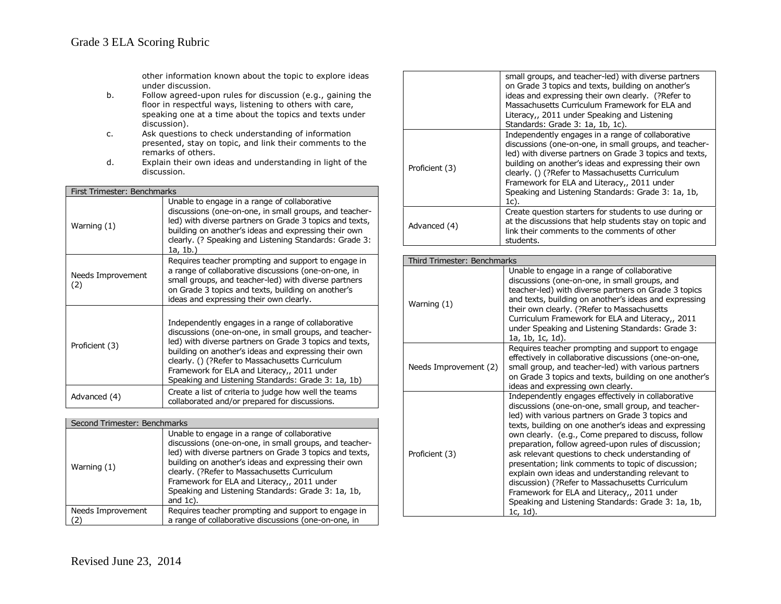other information known about the topic to explore ideas under discussion.

- b. Follow agreed-upon rules for discussion (e.g., gaining the floor in respectful ways, listening to others with care, speaking one at a time about the topics and texts under discussion).
- c. Ask questions to check understanding of information presented, stay on topic, and link their comments to the remarks of others.
- d. Explain their own ideas and understanding in light of the discussion.

| First Trimester: Benchmarks |                                                                                                                                                                                                                                                                                                                                                                                        |  |
|-----------------------------|----------------------------------------------------------------------------------------------------------------------------------------------------------------------------------------------------------------------------------------------------------------------------------------------------------------------------------------------------------------------------------------|--|
| Warning (1)                 | Unable to engage in a range of collaborative<br>discussions (one-on-one, in small groups, and teacher-<br>led) with diverse partners on Grade 3 topics and texts,<br>building on another's ideas and expressing their own<br>clearly. (? Speaking and Listening Standards: Grade 3:<br>1a, 1b.)                                                                                        |  |
| Needs Improvement<br>(2)    | Requires teacher prompting and support to engage in<br>a range of collaborative discussions (one-on-one, in<br>small groups, and teacher-led) with diverse partners<br>on Grade 3 topics and texts, building on another's<br>ideas and expressing their own clearly.                                                                                                                   |  |
| Proficient (3)              | Independently engages in a range of collaborative<br>discussions (one-on-one, in small groups, and teacher-<br>led) with diverse partners on Grade 3 topics and texts,<br>building on another's ideas and expressing their own<br>clearly. () (?Refer to Massachusetts Curriculum<br>Framework for ELA and Literacy,, 2011 under<br>Speaking and Listening Standards: Grade 3: 1a, 1b) |  |
| Advanced (4)                | Create a list of criteria to judge how well the teams<br>collaborated and/or prepared for discussions.                                                                                                                                                                                                                                                                                 |  |

| Second Trimester: Benchmarks |                                                                                                                                                                                                                                                                                                                                                                                               |
|------------------------------|-----------------------------------------------------------------------------------------------------------------------------------------------------------------------------------------------------------------------------------------------------------------------------------------------------------------------------------------------------------------------------------------------|
| Warning (1)                  | Unable to engage in a range of collaborative<br>discussions (one-on-one, in small groups, and teacher-<br>led) with diverse partners on Grade 3 topics and texts,<br>building on another's ideas and expressing their own<br>clearly. (?Refer to Massachusetts Curriculum<br>Framework for ELA and Literacy,, 2011 under<br>Speaking and Listening Standards: Grade 3: 1a, 1b,<br>and $1c$ ). |
| Needs Improvement            | Requires teacher prompting and support to engage in<br>a range of collaborative discussions (one-on-one, in                                                                                                                                                                                                                                                                                   |

|                | small groups, and teacher-led) with diverse partners<br>on Grade 3 topics and texts, building on another's<br>ideas and expressing their own clearly. (?Refer to<br>Massachusetts Curriculum Framework for ELA and<br>Literacy,, 2011 under Speaking and Listening<br>Standards: Grade 3: 1a, 1b, 1c).                                                                                         |
|----------------|------------------------------------------------------------------------------------------------------------------------------------------------------------------------------------------------------------------------------------------------------------------------------------------------------------------------------------------------------------------------------------------------|
| Proficient (3) | Independently engages in a range of collaborative<br>discussions (one-on-one, in small groups, and teacher-<br>led) with diverse partners on Grade 3 topics and texts,<br>building on another's ideas and expressing their own<br>clearly. () (?Refer to Massachusetts Curriculum<br>Framework for ELA and Literacy,, 2011 under<br>Speaking and Listening Standards: Grade 3: 1a, 1b,<br>1c). |
| Advanced (4)   | Create question starters for students to use during or<br>at the discussions that help students stay on topic and<br>link their comments to the comments of other<br>students.                                                                                                                                                                                                                 |

| Third Trimester: Benchmarks |                                                                                                                                                                                                                                                                                                                                                                                                                                                                                                                                                                                                                                                                         |
|-----------------------------|-------------------------------------------------------------------------------------------------------------------------------------------------------------------------------------------------------------------------------------------------------------------------------------------------------------------------------------------------------------------------------------------------------------------------------------------------------------------------------------------------------------------------------------------------------------------------------------------------------------------------------------------------------------------------|
| Warning (1)                 | Unable to engage in a range of collaborative<br>discussions (one-on-one, in small groups, and<br>teacher-led) with diverse partners on Grade 3 topics<br>and texts, building on another's ideas and expressing<br>their own clearly. (?Refer to Massachusetts<br>Curriculum Framework for ELA and Literacy,, 2011<br>under Speaking and Listening Standards: Grade 3:<br>1a, 1b, 1c, 1d).                                                                                                                                                                                                                                                                               |
| Needs Improvement (2)       | Requires teacher prompting and support to engage<br>effectively in collaborative discussions (one-on-one,<br>small group, and teacher-led) with various partners<br>on Grade 3 topics and texts, building on one another's<br>ideas and expressing own clearly.                                                                                                                                                                                                                                                                                                                                                                                                         |
| Proficient (3)              | Independently engages effectively in collaborative<br>discussions (one-on-one, small group, and teacher-<br>led) with various partners on Grade 3 topics and<br>texts, building on one another's ideas and expressing<br>own clearly. (e.g., Come prepared to discuss, follow<br>preparation, follow agreed-upon rules of discussion;<br>ask relevant questions to check understanding of<br>presentation; link comments to topic of discussion;<br>explain own ideas and understanding relevant to<br>discussion) (?Refer to Massachusetts Curriculum<br>Framework for ELA and Literacy,, 2011 under<br>Speaking and Listening Standards: Grade 3: 1a, 1b,<br>1c, 1d). |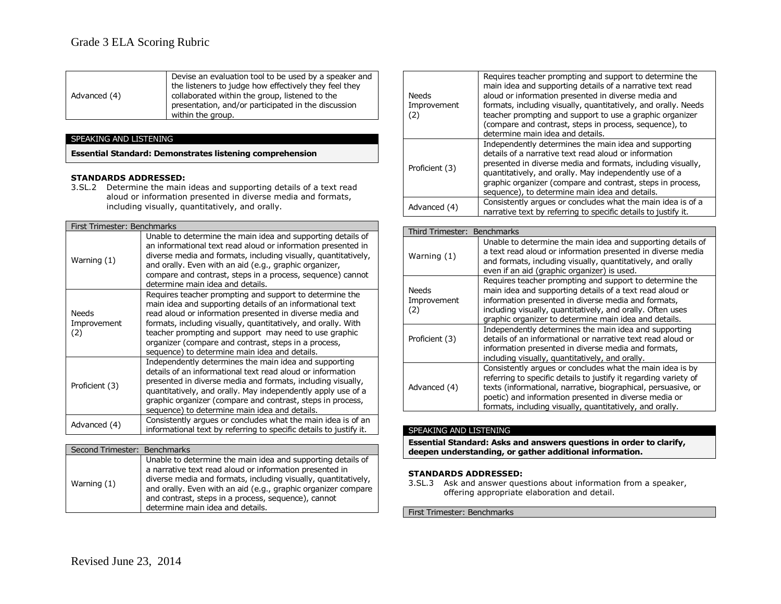|              | Devise an evaluation tool to be used by a speaker and |
|--------------|-------------------------------------------------------|
|              | the listeners to judge how effectively they feel they |
| Advanced (4) | collaborated within the group, listened to the        |
|              | presentation, and/or participated in the discussion   |
|              | within the group.                                     |

# SPEAKING AND LISTENING

**Essential Standard: Demonstrates listening comprehension**

### **STANDARDS ADDRESSED:**

3.SL.2 Determine the main ideas and supporting details of a text read aloud or information presented in diverse media and formats, including visually, quantitatively, and orally.

| First Trimester: Benchmarks        |                                                                                                                                                                                                                                                                                                                                                                                                                     |
|------------------------------------|---------------------------------------------------------------------------------------------------------------------------------------------------------------------------------------------------------------------------------------------------------------------------------------------------------------------------------------------------------------------------------------------------------------------|
| Warning (1)                        | Unable to determine the main idea and supporting details of<br>an informational text read aloud or information presented in<br>diverse media and formats, including visually, quantitatively,<br>and orally. Even with an aid (e.g., graphic organizer,<br>compare and contrast, steps in a process, sequence) cannot<br>determine main idea and details.                                                           |
| <b>Needs</b><br>Improvement<br>(2) | Requires teacher prompting and support to determine the<br>main idea and supporting details of an informational text<br>read aloud or information presented in diverse media and<br>formats, including visually, quantitatively, and orally. With<br>teacher prompting and support may need to use graphic<br>organizer (compare and contrast, steps in a process,<br>sequence) to determine main idea and details. |
| Proficient (3)                     | Independently determines the main idea and supporting<br>details of an informational text read aloud or information<br>presented in diverse media and formats, including visually,<br>quantitatively, and orally. May independently apply use of a<br>graphic organizer (compare and contrast, steps in process,<br>sequence) to determine main idea and details.                                                   |
| Advanced (4)                       | Consistently argues or concludes what the main idea is of an<br>informational text by referring to specific details to justify it.                                                                                                                                                                                                                                                                                  |

| Second Trimester: Benchmarks |                                                                                                                                                                                                                                                                                                                                                      |
|------------------------------|------------------------------------------------------------------------------------------------------------------------------------------------------------------------------------------------------------------------------------------------------------------------------------------------------------------------------------------------------|
| Warning $(1)$                | Unable to determine the main idea and supporting details of<br>a narrative text read aloud or information presented in<br>diverse media and formats, including visually, quantitatively,<br>and orally. Even with an aid (e.g., graphic organizer compare<br>and contrast, steps in a process, sequence), cannot<br>determine main idea and details. |

| <b>Needs</b><br>Improvement<br>(2) | Requires teacher prompting and support to determine the<br>main idea and supporting details of a narrative text read<br>aloud or information presented in diverse media and<br>formats, including visually, quantitatively, and orally. Needs<br>teacher prompting and support to use a graphic organizer<br>(compare and contrast, steps in process, sequence), to<br>determine main idea and details. |
|------------------------------------|---------------------------------------------------------------------------------------------------------------------------------------------------------------------------------------------------------------------------------------------------------------------------------------------------------------------------------------------------------------------------------------------------------|
| Proficient (3)                     | Independently determines the main idea and supporting<br>details of a narrative text read aloud or information<br>presented in diverse media and formats, including visually,<br>quantitatively, and orally. May independently use of a<br>graphic organizer (compare and contrast, steps in process,<br>sequence), to determine main idea and details.                                                 |
| Advanced (4)                       | Consistently argues or concludes what the main idea is of a<br>narrative text by referring to specific details to justify it.                                                                                                                                                                                                                                                                           |
|                                    |                                                                                                                                                                                                                                                                                                                                                                                                         |
| Third Trimester: Benchmarks        |                                                                                                                                                                                                                                                                                                                                                                                                         |
|                                    | Unable to determine the main idea and supporting details of                                                                                                                                                                                                                                                                                                                                             |
|                                    |                                                                                                                                                                                                                                                                                                                                                                                                         |

| Warning (1)                        | Unable to determine the main idea and supporting details of<br>a text read aloud or information presented in diverse media<br>and formats, including visually, quantitatively, and orally<br>even if an aid (graphic organizer) is used.                                                                            |
|------------------------------------|---------------------------------------------------------------------------------------------------------------------------------------------------------------------------------------------------------------------------------------------------------------------------------------------------------------------|
| <b>Needs</b><br>Improvement<br>(2) | Requires teacher prompting and support to determine the<br>main idea and supporting details of a text read aloud or<br>information presented in diverse media and formats,<br>including visually, quantitatively, and orally. Often uses<br>graphic organizer to determine main idea and details.                   |
| Proficient (3)                     | Independently determines the main idea and supporting<br>details of an informational or narrative text read aloud or<br>information presented in diverse media and formats,<br>including visually, quantitatively, and orally.                                                                                      |
| Advanced (4)                       | Consistently argues or concludes what the main idea is by<br>referring to specific details to justify it regarding variety of<br>texts (informational, narrative, biographical, persuasive, or<br>poetic) and information presented in diverse media or<br>formats, including visually, quantitatively, and orally. |

### SPEAKING AND LISTENING

**Essential Standard: Asks and answers questions in order to clarify, deepen understanding, or gather additional information.**

#### **STANDARDS ADDRESSED:**

3.SL.3 Ask and answer questions about information from a speaker, offering appropriate elaboration and detail.

First Trimester: Benchmarks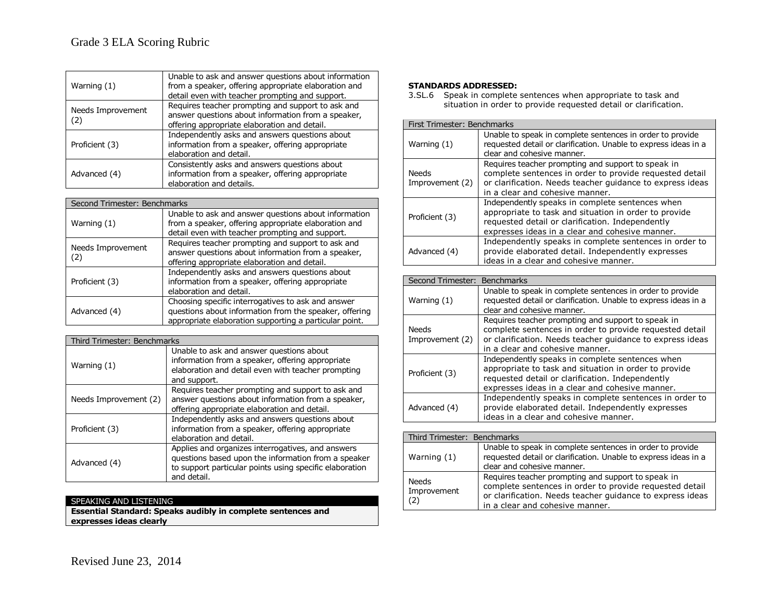| Warning (1)              | Unable to ask and answer questions about information<br>from a speaker, offering appropriate elaboration and<br>detail even with teacher prompting and support. |
|--------------------------|-----------------------------------------------------------------------------------------------------------------------------------------------------------------|
| Needs Improvement<br>(2) | Requires teacher prompting and support to ask and<br>answer questions about information from a speaker,<br>offering appropriate elaboration and detail.         |
| Proficient (3)           | Independently asks and answers questions about<br>information from a speaker, offering appropriate<br>elaboration and detail.                                   |
| Advanced (4)             | Consistently asks and answers questions about<br>information from a speaker, offering appropriate<br>elaboration and details.                                   |

| Second Trimester: Benchmarks |                                                                                                                                                                        |
|------------------------------|------------------------------------------------------------------------------------------------------------------------------------------------------------------------|
| Warning $(1)$                | Unable to ask and answer questions about information<br>from a speaker, offering appropriate elaboration and<br>detail even with teacher prompting and support.        |
| Needs Improvement<br>(2)     | Requires teacher prompting and support to ask and<br>answer questions about information from a speaker,<br>offering appropriate elaboration and detail.                |
| Proficient (3)               | Independently asks and answers questions about<br>information from a speaker, offering appropriate<br>elaboration and detail.                                          |
| Advanced (4)                 | Choosing specific interrogatives to ask and answer<br>questions about information from the speaker, offering<br>appropriate elaboration supporting a particular point. |

| Third Trimester: Benchmarks |                                                                                                                                                                                    |
|-----------------------------|------------------------------------------------------------------------------------------------------------------------------------------------------------------------------------|
| Warning (1)                 | Unable to ask and answer questions about<br>information from a speaker, offering appropriate<br>elaboration and detail even with teacher prompting<br>and support.                 |
| Needs Improvement (2)       | Requires teacher prompting and support to ask and<br>answer questions about information from a speaker,<br>offering appropriate elaboration and detail.                            |
| Proficient (3)              | Independently asks and answers questions about<br>information from a speaker, offering appropriate<br>elaboration and detail.                                                      |
| Advanced (4)                | Applies and organizes interrogatives, and answers<br>questions based upon the information from a speaker<br>to support particular points using specific elaboration<br>and detail. |

# SPEAKING AND LISTENING

**Essential Standard: Speaks audibly in complete sentences and expresses ideas clearly**

### **STANDARDS ADDRESSED:**

3.SL.6 Speak in complete sentences when appropriate to task and situation in order to provide requested detail or clarification.

| First Trimester: Benchmarks |                                                                                                                                                                                                                 |
|-----------------------------|-----------------------------------------------------------------------------------------------------------------------------------------------------------------------------------------------------------------|
| Warning (1)                 | Unable to speak in complete sentences in order to provide<br>requested detail or clarification. Unable to express ideas in a<br>clear and cohesive manner.                                                      |
| Needs<br>Improvement (2)    | Requires teacher prompting and support to speak in<br>complete sentences in order to provide requested detail<br>or clarification. Needs teacher quidance to express ideas<br>in a clear and cohesive manner.   |
| Proficient (3)              | Independently speaks in complete sentences when<br>appropriate to task and situation in order to provide<br>requested detail or clarification. Independently<br>expresses ideas in a clear and cohesive manner. |
| Advanced (4)                | Independently speaks in complete sentences in order to<br>provide elaborated detail. Independently expresses<br>ideas in a clear and cohesive manner.                                                           |

| Second Trimester:               | <b>Benchmarks</b>                                                                                             |
|---------------------------------|---------------------------------------------------------------------------------------------------------------|
| Warning (1)                     | Unable to speak in complete sentences in order to provide                                                     |
|                                 | requested detail or clarification. Unable to express ideas in a                                               |
|                                 | clear and cohesive manner.                                                                                    |
| <b>Needs</b><br>Improvement (2) | Requires teacher prompting and support to speak in<br>complete sentences in order to provide requested detail |
|                                 | or clarification. Needs teacher guidance to express ideas                                                     |
|                                 | in a clear and cohesive manner.                                                                               |
|                                 | Independently speaks in complete sentences when                                                               |
| Proficient (3)                  | appropriate to task and situation in order to provide                                                         |
|                                 | requested detail or clarification. Independently                                                              |
|                                 | expresses ideas in a clear and cohesive manner.                                                               |
| Advanced (4)                    | Independently speaks in complete sentences in order to                                                        |
|                                 | provide elaborated detail. Independently expresses                                                            |
|                                 | ideas in a clear and cohesive manner.                                                                         |
|                                 |                                                                                                               |
| Third Trimester: Benchmarks     |                                                                                                               |
|                                 | . .<br>$\cdots$                                                                                               |

| Warning (1)                 | Unable to speak in complete sentences in order to provide<br>requested detail or clarification. Unable to express ideas in a<br>clear and cohesive manner.                                                    |
|-----------------------------|---------------------------------------------------------------------------------------------------------------------------------------------------------------------------------------------------------------|
| Needs<br>Improvement<br>(2) | Requires teacher prompting and support to speak in<br>complete sentences in order to provide requested detail<br>or clarification. Needs teacher guidance to express ideas<br>in a clear and cohesive manner. |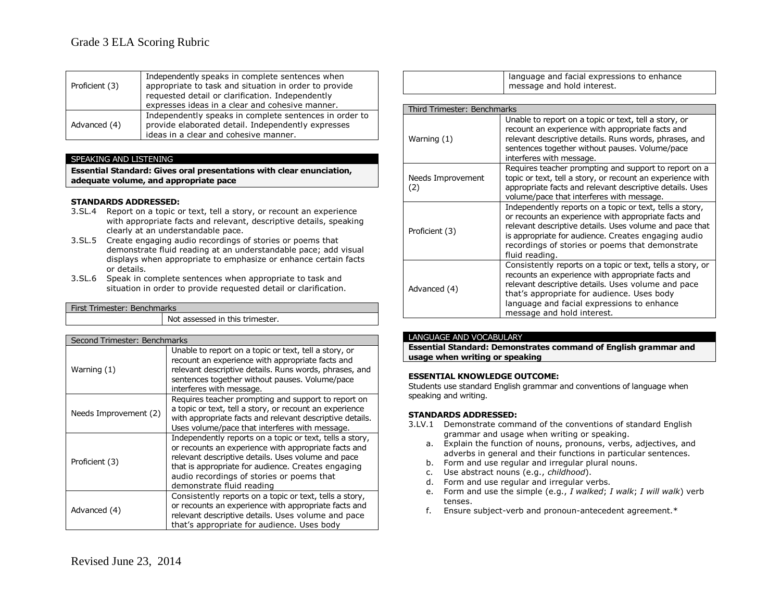| Proficient (3) | Independently speaks in complete sentences when<br>appropriate to task and situation in order to provide<br>requested detail or clarification. Independently<br>expresses ideas in a clear and cohesive manner. |
|----------------|-----------------------------------------------------------------------------------------------------------------------------------------------------------------------------------------------------------------|
| Advanced (4)   | Independently speaks in complete sentences in order to<br>provide elaborated detail. Independently expresses<br>ideas in a clear and cohesive manner.                                                           |

### SPEAKING AND LISTENING

**Essential Standard: Gives oral presentations with clear enunciation, adequate volume, and appropriate pace**

### **STANDARDS ADDRESSED:**

- 3.SL.4 Report on a topic or text, tell a story, or recount an experience with appropriate facts and relevant, descriptive details, speaking clearly at an understandable pace.
- 3.SL.5 Create engaging audio recordings of stories or poems that demonstrate fluid reading at an understandable pace; add visual displays when appropriate to emphasize or enhance certain facts or details.
- 3.SL.6 Speak in complete sentences when appropriate to task and situation in order to provide requested detail or clarification.

| First Trimester: Benchmarks |                                 |
|-----------------------------|---------------------------------|
|                             | Not assessed in this trimester. |

| Second Trimester: Benchmarks |                                                                                                                                                                                                                                                                                                        |  |
|------------------------------|--------------------------------------------------------------------------------------------------------------------------------------------------------------------------------------------------------------------------------------------------------------------------------------------------------|--|
| Warning (1)                  | Unable to report on a topic or text, tell a story, or<br>recount an experience with appropriate facts and<br>relevant descriptive details. Runs words, phrases, and<br>sentences together without pauses. Volume/pace<br>interferes with message.                                                      |  |
| Needs Improvement (2)        | Requires teacher prompting and support to report on<br>a topic or text, tell a story, or recount an experience<br>with appropriate facts and relevant descriptive details.<br>Uses volume/pace that interferes with message.                                                                           |  |
| Proficient (3)               | Independently reports on a topic or text, tells a story,<br>or recounts an experience with appropriate facts and<br>relevant descriptive details. Uses volume and pace<br>that is appropriate for audience. Creates engaging<br>audio recordings of stories or poems that<br>demonstrate fluid reading |  |
| Advanced (4)                 | Consistently reports on a topic or text, tells a story,<br>or recounts an experience with appropriate facts and<br>relevant descriptive details. Uses volume and pace<br>that's appropriate for audience. Uses body                                                                                    |  |

| anguage and facial expressions to enhance |
|-------------------------------------------|
| message and hold interest.                |

| Third Trimester: Benchmarks |                                                                                                                                                                                                                                                                                                         |  |
|-----------------------------|---------------------------------------------------------------------------------------------------------------------------------------------------------------------------------------------------------------------------------------------------------------------------------------------------------|--|
| Warning (1)                 | Unable to report on a topic or text, tell a story, or<br>recount an experience with appropriate facts and<br>relevant descriptive details. Runs words, phrases, and<br>sentences together without pauses. Volume/pace<br>interferes with message.                                                       |  |
| Needs Improvement<br>(2)    | Requires teacher prompting and support to report on a<br>topic or text, tell a story, or recount an experience with<br>appropriate facts and relevant descriptive details. Uses<br>volume/pace that interferes with message.                                                                            |  |
| Proficient (3)              | Independently reports on a topic or text, tells a story,<br>or recounts an experience with appropriate facts and<br>relevant descriptive details. Uses volume and pace that<br>is appropriate for audience. Creates engaging audio<br>recordings of stories or poems that demonstrate<br>fluid reading. |  |
| Advanced (4)                | Consistently reports on a topic or text, tells a story, or<br>recounts an experience with appropriate facts and<br>relevant descriptive details. Uses volume and pace<br>that's appropriate for audience. Uses body<br>language and facial expressions to enhance<br>message and hold interest.         |  |

### LANGUAGE AND VOCABULARY

**Essential Standard: Demonstrates command of English grammar and usage when writing or speaking**

### **ESSENTIAL KNOWLEDGE OUTCOME:**

Students use standard English grammar and conventions of language when speaking and writing.

- 3.LV.1 Demonstrate command of the conventions of standard English grammar and usage when writing or speaking.
	- a. Explain the function of nouns, pronouns, verbs, adjectives, and adverbs in general and their functions in particular sentences.
	- b. Form and use regular and irregular plural nouns.
	- c. Use abstract nouns (e.g., *childhood*).
	- d. Form and use regular and irregular verbs.
	- e. Form and use the simple (e.g., *I walked*; *I walk*; *I will walk*) verb tenses.
	- f. Ensure subject-verb and pronoun-antecedent agreement.\*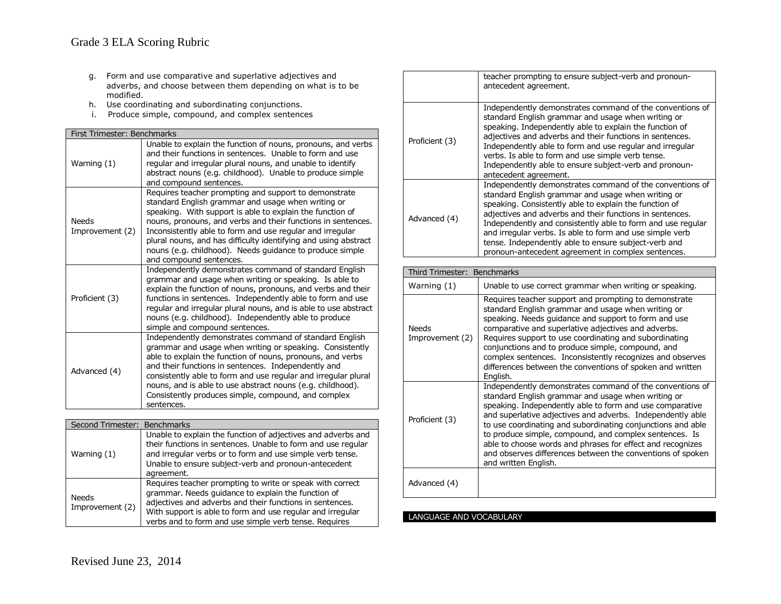- g. Form and use comparative and superlative adjectives and adverbs, and choose between them depending on what is to be modified.
- h. Use coordinating and subordinating conjunctions.
- i. Produce simple, compound, and complex sentences

| First Trimester: Benchmarks     |                                                                                                                                                                                                                                                                                                                                                                                                                                                                 |  |
|---------------------------------|-----------------------------------------------------------------------------------------------------------------------------------------------------------------------------------------------------------------------------------------------------------------------------------------------------------------------------------------------------------------------------------------------------------------------------------------------------------------|--|
| Warning (1)                     | Unable to explain the function of nouns, pronouns, and verbs<br>and their functions in sentences. Unable to form and use<br>regular and irregular plural nouns, and unable to identify<br>abstract nouns (e.g. childhood). Unable to produce simple<br>and compound sentences.                                                                                                                                                                                  |  |
| <b>Needs</b><br>Improvement (2) | Requires teacher prompting and support to demonstrate<br>standard English grammar and usage when writing or<br>speaking. With support is able to explain the function of<br>nouns, pronouns, and verbs and their functions in sentences.<br>Inconsistently able to form and use regular and irregular<br>plural nouns, and has difficulty identifying and using abstract<br>nouns (e.g. childhood). Needs guidance to produce simple<br>and compound sentences. |  |
| Proficient (3)                  | Independently demonstrates command of standard English<br>grammar and usage when writing or speaking. Is able to<br>explain the function of nouns, pronouns, and verbs and their<br>functions in sentences. Independently able to form and use<br>regular and irregular plural nouns, and is able to use abstract<br>nouns (e.g. childhood). Independently able to produce<br>simple and compound sentences.                                                    |  |
| Advanced (4)                    | Independently demonstrates command of standard English<br>grammar and usage when writing or speaking. Consistently<br>able to explain the function of nouns, pronouns, and verbs<br>and their functions in sentences. Independently and<br>consistently able to form and use regular and irregular plural<br>nouns, and is able to use abstract nouns (e.g. childhood).<br>Consistently produces simple, compound, and complex<br>sentences.                    |  |

| Second Trimester: Benchmarks |                                                                                                                                                                                                                                                                                                    |
|------------------------------|----------------------------------------------------------------------------------------------------------------------------------------------------------------------------------------------------------------------------------------------------------------------------------------------------|
| Warning $(1)$                | Unable to explain the function of adjectives and adverbs and<br>their functions in sentences. Unable to form and use regular<br>and irregular verbs or to form and use simple verb tense.<br>Unable to ensure subject-verb and pronoun-antecedent<br>agreement.                                    |
| Needs<br>Improvement (2)     | Requires teacher prompting to write or speak with correct<br>grammar. Needs guidance to explain the function of<br>adjectives and adverbs and their functions in sentences.<br>With support is able to form and use regular and irregular<br>verbs and to form and use simple verb tense. Requires |

|                | teacher prompting to ensure subject-verb and pronoun-<br>antecedent agreement.                                                                                                                                                                                                                                                                                                                                                                                                |
|----------------|-------------------------------------------------------------------------------------------------------------------------------------------------------------------------------------------------------------------------------------------------------------------------------------------------------------------------------------------------------------------------------------------------------------------------------------------------------------------------------|
| Proficient (3) | Independently demonstrates command of the conventions of<br>standard English grammar and usage when writing or<br>speaking. Independently able to explain the function of<br>adjectives and adverbs and their functions in sentences.<br>Independently able to form and use regular and irregular<br>verbs. Is able to form and use simple verb tense.<br>Independently able to ensure subject-verb and pronoun-<br>antecedent agreement.                                     |
| Advanced (4)   | Independently demonstrates command of the conventions of<br>standard English grammar and usage when writing or<br>speaking. Consistently able to explain the function of<br>adjectives and adverbs and their functions in sentences.<br>Independently and consistently able to form and use regular<br>and irregular verbs. Is able to form and use simple verb<br>tense. Independently able to ensure subject-verb and<br>pronoun-antecedent agreement in complex sentences. |

| Third Trimester: Benchmarks     |                                                                                                                                                                                                                                                                                                                                                                                                                                                                                                                       |
|---------------------------------|-----------------------------------------------------------------------------------------------------------------------------------------------------------------------------------------------------------------------------------------------------------------------------------------------------------------------------------------------------------------------------------------------------------------------------------------------------------------------------------------------------------------------|
| Warning (1)                     | Unable to use correct grammar when writing or speaking.                                                                                                                                                                                                                                                                                                                                                                                                                                                               |
| <b>Needs</b><br>Improvement (2) | Requires teacher support and prompting to demonstrate<br>standard English grammar and usage when writing or<br>speaking. Needs quidance and support to form and use<br>comparative and superlative adjectives and adverbs.<br>Requires support to use coordinating and subordinating<br>conjunctions and to produce simple, compound, and<br>complex sentences. Inconsistently recognizes and observes<br>differences between the conventions of spoken and written<br>English.                                       |
| Proficient (3)                  | Independently demonstrates command of the conventions of<br>standard English grammar and usage when writing or<br>speaking. Independently able to form and use comparative<br>and superlative adjectives and adverbs. Independently able<br>to use coordinating and subordinating conjunctions and able<br>to produce simple, compound, and complex sentences. Is<br>able to choose words and phrases for effect and recognizes<br>and observes differences between the conventions of spoken<br>and written English. |
| Advanced (4)                    |                                                                                                                                                                                                                                                                                                                                                                                                                                                                                                                       |

# LANGUAGE AND VOCABULARY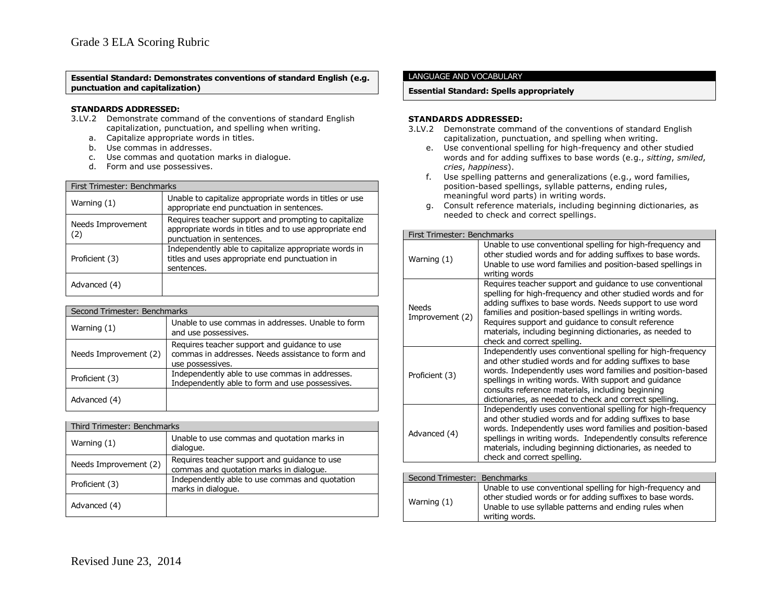### **Essential Standard: Demonstrates conventions of standard English (e.g. punctuation and capitalization)**

### **STANDARDS ADDRESSED:**

- 3.LV.2 Demonstrate command of the conventions of standard English capitalization, punctuation, and spelling when writing.
	- a. Capitalize appropriate words in titles.
	- b. Use commas in addresses.
	- c. Use commas and quotation marks in dialogue.
	- d. Form and use possessives.

| First Trimester: Benchmarks |                                                                                                                                             |
|-----------------------------|---------------------------------------------------------------------------------------------------------------------------------------------|
| Warning $(1)$               | Unable to capitalize appropriate words in titles or use<br>appropriate end punctuation in sentences.                                        |
| Needs Improvement<br>(2)    | Requires teacher support and prompting to capitalize<br>appropriate words in titles and to use appropriate end<br>punctuation in sentences. |
| Proficient (3)              | Independently able to capitalize appropriate words in<br>titles and uses appropriate end punctuation in<br>sentences.                       |
| Advanced (4)                |                                                                                                                                             |

| Second Trimester: Benchmarks |                                                                                                                       |
|------------------------------|-----------------------------------------------------------------------------------------------------------------------|
| Warning $(1)$                | Unable to use commas in addresses. Unable to form<br>and use possessives.                                             |
| Needs Improvement (2)        | Requires teacher support and guidance to use<br>commas in addresses. Needs assistance to form and<br>use possessives. |
| Proficient (3)               | Independently able to use commas in addresses.<br>Independently able to form and use possessives.                     |
| Advanced (4)                 |                                                                                                                       |

| Third Trimester: Benchmarks |                                                                                         |
|-----------------------------|-----------------------------------------------------------------------------------------|
| Warning (1)                 | Unable to use commas and quotation marks in<br>dialogue.                                |
| Needs Improvement (2)       | Requires teacher support and guidance to use<br>commas and quotation marks in dialogue. |
| Proficient (3)              | Independently able to use commas and quotation<br>marks in dialoque.                    |
| Advanced (4)                |                                                                                         |

### LANGUAGE AND VOCABULARY

### **Essential Standard: Spells appropriately**

- 3.LV.2 Demonstrate command of the conventions of standard English capitalization, punctuation, and spelling when writing.
	- e. Use conventional spelling for high-frequency and other studied words and for adding suffixes to base words (e.g., *sitting*, *smiled*, *cries*, *happiness*).
	- f. Use spelling patterns and generalizations (e.g., word families, position-based spellings, syllable patterns, ending rules, meaningful word parts) in writing words.
	- g. Consult reference materials, including beginning dictionaries, as needed to check and correct spellings.

| First Trimester: Benchmarks     |                                                                                                                                                                                                                                                                                                                                                                                                   |
|---------------------------------|---------------------------------------------------------------------------------------------------------------------------------------------------------------------------------------------------------------------------------------------------------------------------------------------------------------------------------------------------------------------------------------------------|
| Warning (1)                     | Unable to use conventional spelling for high-frequency and<br>other studied words and for adding suffixes to base words.<br>Unable to use word families and position-based spellings in<br>writing words                                                                                                                                                                                          |
| <b>Needs</b><br>Improvement (2) | Requires teacher support and guidance to use conventional<br>spelling for high-frequency and other studied words and for<br>adding suffixes to base words. Needs support to use word<br>families and position-based spellings in writing words.<br>Requires support and guidance to consult reference<br>materials, including beginning dictionaries, as needed to<br>check and correct spelling. |
| Proficient (3)                  | Independently uses conventional spelling for high-frequency<br>and other studied words and for adding suffixes to base<br>words. Independently uses word families and position-based<br>spellings in writing words. With support and guidance<br>consults reference materials, including beginning<br>dictionaries, as needed to check and correct spelling.                                      |
| Advanced (4)                    | Independently uses conventional spelling for high-frequency<br>and other studied words and for adding suffixes to base<br>words. Independently uses word families and position-based<br>spellings in writing words. Independently consults reference<br>materials, including beginning dictionaries, as needed to<br>check and correct spelling.                                                  |
|                                 |                                                                                                                                                                                                                                                                                                                                                                                                   |
| Second Trimester: Benchmarks    |                                                                                                                                                                                                                                                                                                                                                                                                   |
| Warning $(1)$                   | Unable to use conventional spelling for high-frequency and<br>other studied words or for adding suffixes to base words.<br>Unable to use syllable patterns and ending rules when<br>writing words.                                                                                                                                                                                                |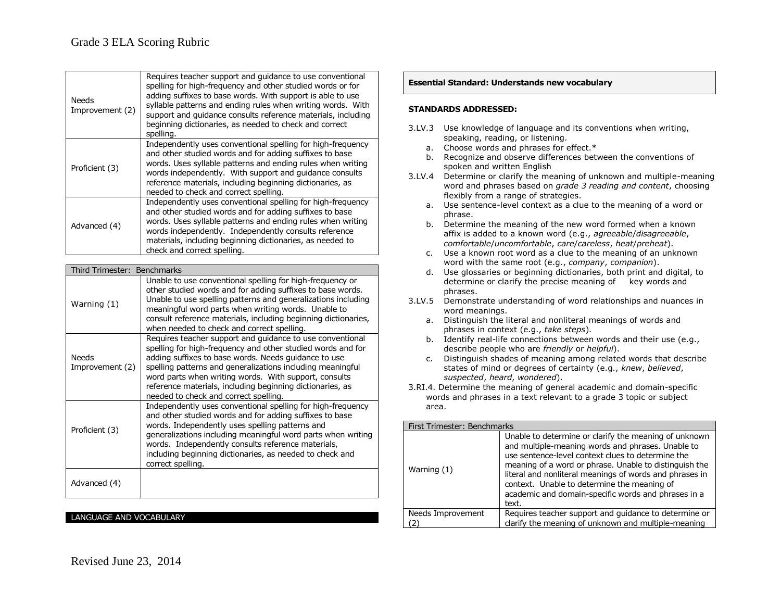| <b>Needs</b><br>Improvement (2) | Requires teacher support and guidance to use conventional<br>spelling for high-frequency and other studied words or for<br>adding suffixes to base words. With support is able to use<br>syllable patterns and ending rules when writing words. With<br>support and guidance consults reference materials, including<br>beginning dictionaries, as needed to check and correct<br>spelling.                   |
|---------------------------------|---------------------------------------------------------------------------------------------------------------------------------------------------------------------------------------------------------------------------------------------------------------------------------------------------------------------------------------------------------------------------------------------------------------|
| Proficient (3)                  | Independently uses conventional spelling for high-frequency<br>and other studied words and for adding suffixes to base<br>words. Uses syllable patterns and ending rules when writing<br>words independently. With support and guidance consults<br>reference materials, including beginning dictionaries, as<br>needed to check and correct spelling.                                                        |
| Advanced (4)                    | Independently uses conventional spelling for high-frequency<br>and other studied words and for adding suffixes to base<br>words. Uses syllable patterns and ending rules when writing<br>words independently. Independently consults reference<br>materials, including beginning dictionaries, as needed to<br>check and correct spelling.                                                                    |
|                                 |                                                                                                                                                                                                                                                                                                                                                                                                               |
| Third Trimester:                | <b>Benchmarks</b>                                                                                                                                                                                                                                                                                                                                                                                             |
|                                 | Unable to use conventional spelling for high-frequency or<br>other studied words and for adding suffixes to base words.<br>Unable to use spelling patterns and generalizations including                                                                                                                                                                                                                      |
| Warning (1)                     | meaningful word parts when writing words. Unable to<br>consult reference materials, including beginning dictionaries,<br>when needed to check and correct spelling.                                                                                                                                                                                                                                           |
| <b>Needs</b><br>Improvement (2) | Requires teacher support and guidance to use conventional<br>spelling for high-frequency and other studied words and for<br>adding suffixes to base words. Needs guidance to use<br>spelling patterns and generalizations including meaningful<br>word parts when writing words. With support, consults<br>reference materials, including beginning dictionaries, as<br>needed to check and correct spelling. |
| Proficient (3)                  | Independently uses conventional spelling for high-frequency<br>and other studied words and for adding suffixes to base<br>words. Independently uses spelling patterns and<br>generalizations including meaningful word parts when writing<br>words. Independently consults reference materials,<br>including beginning dictionaries, as needed to check and<br>correct spelling.                              |

### LANGUAGE AND VOCABULARY

### **Essential Standard: Understands new vocabulary**

- 3.LV.3 Use knowledge of language and its conventions when writing, speaking, reading, or listening.
	- a. Choose words and phrases for effect.\*
	- b. Recognize and observe differences between the conventions of spoken and written English
- 3.LV.4 Determine or clarify the meaning of unknown and multiple-meaning word and phrases based on *grade 3 reading and content*, choosing flexibly from a range of strategies.
	- a. Use sentence-level context as a clue to the meaning of a word or phrase.
	- b. Determine the meaning of the new word formed when a known affix is added to a known word (e.g., *agreeable*/*disagreeable*, *comfortable*/*uncomfortable*, *care*/*careless*, *heat*/*preheat*).
	- c. Use a known root word as a clue to the meaning of an unknown word with the same root (e.g., *company*, *companion*).
	- d. Use glossaries or beginning dictionaries, both print and digital, to determine or clarify the precise meaning of key words and phrases.
- 3.LV.5 Demonstrate understanding of word relationships and nuances in word meanings.
	- a. Distinguish the literal and nonliteral meanings of words and phrases in context (e.g., *take steps*).
	- b. Identify real-life connections between words and their use (e.g., describe people who are *friendly* or *helpful*).
	- c. Distinguish shades of meaning among related words that describe states of mind or degrees of certainty (e.g., *knew*, *believed*, *suspected*, *heard*, *wondered*).
- 3.RI.4. Determine the meaning of general academic and domain-specific words and phrases in a text relevant to a grade 3 topic or subject area.

| First Trimester: Benchmarks |                                                                                                                                                                                                                                                                                                                                                                                                     |
|-----------------------------|-----------------------------------------------------------------------------------------------------------------------------------------------------------------------------------------------------------------------------------------------------------------------------------------------------------------------------------------------------------------------------------------------------|
| Warning $(1)$               | Unable to determine or clarify the meaning of unknown<br>and multiple-meaning words and phrases. Unable to<br>use sentence-level context clues to determine the<br>meaning of a word or phrase. Unable to distinguish the<br>literal and nonliteral meanings of words and phrases in<br>context. Unable to determine the meaning of<br>academic and domain-specific words and phrases in a<br>text. |
| Needs Improvement           | Requires teacher support and guidance to determine or                                                                                                                                                                                                                                                                                                                                               |
|                             | clarify the meaning of unknown and multiple-meaning                                                                                                                                                                                                                                                                                                                                                 |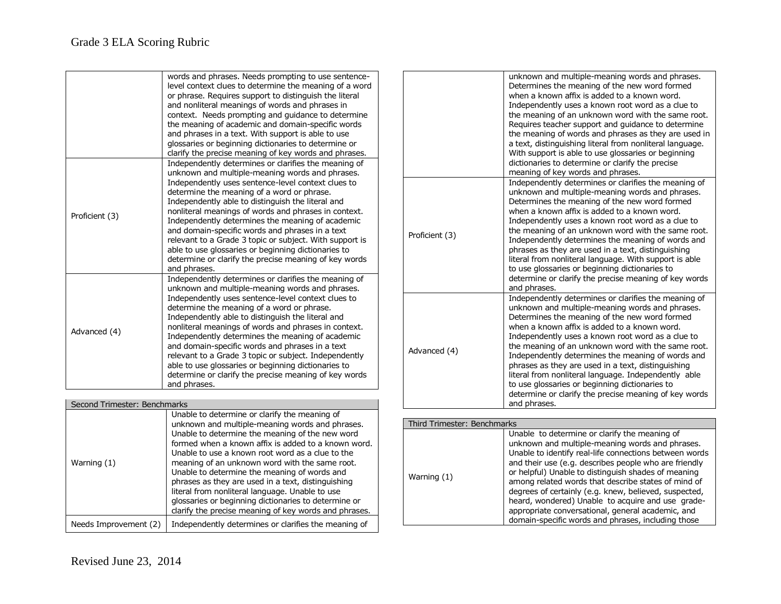|                              | words and phrases. Needs prompting to use sentence-<br>level context clues to determine the meaning of a word<br>or phrase. Requires support to distinguish the literal<br>and nonliteral meanings of words and phrases in<br>context. Needs prompting and guidance to determine<br>the meaning of academic and domain-specific words<br>and phrases in a text. With support is able to use<br>glossaries or beginning dictionaries to determine or<br>clarify the precise meaning of key words and phrases.                                                                                                               |
|------------------------------|----------------------------------------------------------------------------------------------------------------------------------------------------------------------------------------------------------------------------------------------------------------------------------------------------------------------------------------------------------------------------------------------------------------------------------------------------------------------------------------------------------------------------------------------------------------------------------------------------------------------------|
| Proficient (3)               | Independently determines or clarifies the meaning of<br>unknown and multiple-meaning words and phrases.<br>Independently uses sentence-level context clues to<br>determine the meaning of a word or phrase.<br>Independently able to distinguish the literal and<br>nonliteral meanings of words and phrases in context.<br>Independently determines the meaning of academic<br>and domain-specific words and phrases in a text<br>relevant to a Grade 3 topic or subject. With support is<br>able to use glossaries or beginning dictionaries to<br>determine or clarify the precise meaning of key words<br>and phrases. |
| Advanced (4)                 | Independently determines or clarifies the meaning of<br>unknown and multiple-meaning words and phrases.<br>Independently uses sentence-level context clues to<br>determine the meaning of a word or phrase.<br>Independently able to distinguish the literal and<br>nonliteral meanings of words and phrases in context.<br>Independently determines the meaning of academic<br>and domain-specific words and phrases in a text<br>relevant to a Grade 3 topic or subject. Independently<br>able to use glossaries or beginning dictionaries to<br>determine or clarify the precise meaning of key words<br>and phrases.   |
| Socond Trimostor: Bonshmarks |                                                                                                                                                                                                                                                                                                                                                                                                                                                                                                                                                                                                                            |

| Second Trimester: Benchmarks |                                                                                                                                                                                                                                                                                                                                                                                                                                                                                                                                                                                            |
|------------------------------|--------------------------------------------------------------------------------------------------------------------------------------------------------------------------------------------------------------------------------------------------------------------------------------------------------------------------------------------------------------------------------------------------------------------------------------------------------------------------------------------------------------------------------------------------------------------------------------------|
| Warning (1)                  | Unable to determine or clarify the meaning of<br>unknown and multiple-meaning words and phrases.<br>Unable to determine the meaning of the new word<br>formed when a known affix is added to a known word.<br>Unable to use a known root word as a clue to the<br>meaning of an unknown word with the same root.<br>Unable to determine the meaning of words and<br>phrases as they are used in a text, distinguishing<br>literal from nonliteral language. Unable to use<br>glossaries or beginning dictionaries to determine or<br>clarify the precise meaning of key words and phrases. |
| Needs Improvement (2)        | Independently determines or clarifies the meaning of                                                                                                                                                                                                                                                                                                                                                                                                                                                                                                                                       |

|                             | unknown and multiple-meaning words and phrases.<br>Determines the meaning of the new word formed<br>when a known affix is added to a known word.<br>Independently uses a known root word as a clue to<br>the meaning of an unknown word with the same root.<br>Requires teacher support and guidance to determine<br>the meaning of words and phrases as they are used in<br>a text, distinguishing literal from nonliteral language.<br>With support is able to use glossaries or beginning<br>dictionaries to determine or clarify the precise<br>meaning of key words and phrases.                               |
|-----------------------------|---------------------------------------------------------------------------------------------------------------------------------------------------------------------------------------------------------------------------------------------------------------------------------------------------------------------------------------------------------------------------------------------------------------------------------------------------------------------------------------------------------------------------------------------------------------------------------------------------------------------|
| Proficient (3)              | Independently determines or clarifies the meaning of<br>unknown and multiple-meaning words and phrases.<br>Determines the meaning of the new word formed<br>when a known affix is added to a known word.<br>Independently uses a known root word as a clue to<br>the meaning of an unknown word with the same root.<br>Independently determines the meaning of words and<br>phrases as they are used in a text, distinguishing<br>literal from nonliteral language. With support is able<br>to use glossaries or beginning dictionaries to<br>determine or clarify the precise meaning of key words<br>and phrases. |
| Advanced (4)                | Independently determines or clarifies the meaning of<br>unknown and multiple-meaning words and phrases.<br>Determines the meaning of the new word formed<br>when a known affix is added to a known word.<br>Independently uses a known root word as a clue to<br>the meaning of an unknown word with the same root.<br>Independently determines the meaning of words and<br>phrases as they are used in a text, distinguishing<br>literal from nonliteral language. Independently able<br>to use glossaries or beginning dictionaries to<br>determine or clarify the precise meaning of key words<br>and phrases.   |
|                             |                                                                                                                                                                                                                                                                                                                                                                                                                                                                                                                                                                                                                     |
| Third Trimester: Benchmarks |                                                                                                                                                                                                                                                                                                                                                                                                                                                                                                                                                                                                                     |
|                             | Unable to determine or clarify the meaning of<br>unknown and multiple-meaning words and phrases.                                                                                                                                                                                                                                                                                                                                                                                                                                                                                                                    |

| Warning (1) | Unable to determine or clarify the meaning of<br>unknown and multiple-meaning words and phrases.<br>Unable to identify real-life connections between words<br>and their use (e.g. describes people who are friendly<br>or helpful) Unable to distinguish shades of meaning<br>among related words that describe states of mind of<br>degrees of certainly (e.g. knew, believed, suspected,<br>heard, wondered) Unable to acquire and use grade-<br>appropriate conversational, general academic, and<br>domain-specific words and phrases, including those |
|-------------|------------------------------------------------------------------------------------------------------------------------------------------------------------------------------------------------------------------------------------------------------------------------------------------------------------------------------------------------------------------------------------------------------------------------------------------------------------------------------------------------------------------------------------------------------------|
|-------------|------------------------------------------------------------------------------------------------------------------------------------------------------------------------------------------------------------------------------------------------------------------------------------------------------------------------------------------------------------------------------------------------------------------------------------------------------------------------------------------------------------------------------------------------------------|